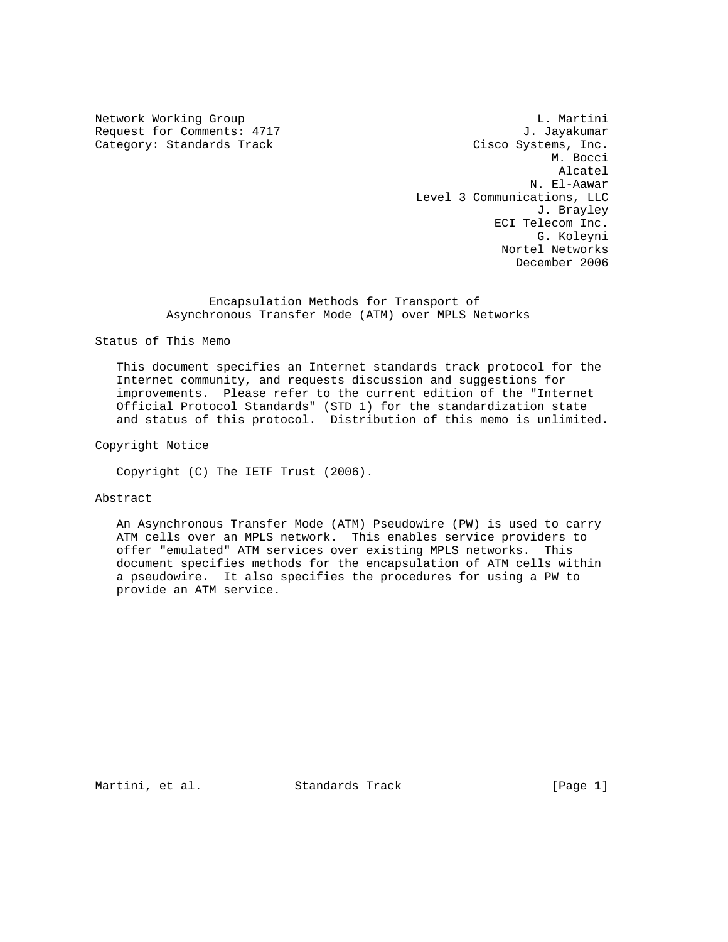Network Working Group and the control of the control of the control of the control of the control of the control of the control of the control of the control of the control of the control of the control of the control of t Request for Comments: 4717 J. Jayakumar Category: Standards Track Cisco Systems, Inc.<br>M. Bocci M. Bocci Alcatel N. El-Aawar Level 3 Communications, LLC J. Brayley ECI Telecom Inc. G. Koleyni Nortel Networks December 2006

> Encapsulation Methods for Transport of Asynchronous Transfer Mode (ATM) over MPLS Networks

Status of This Memo

 This document specifies an Internet standards track protocol for the Internet community, and requests discussion and suggestions for improvements. Please refer to the current edition of the "Internet Official Protocol Standards" (STD 1) for the standardization state and status of this protocol. Distribution of this memo is unlimited.

Copyright Notice

Copyright (C) The IETF Trust (2006).

## Abstract

 An Asynchronous Transfer Mode (ATM) Pseudowire (PW) is used to carry ATM cells over an MPLS network. This enables service providers to offer "emulated" ATM services over existing MPLS networks. This document specifies methods for the encapsulation of ATM cells within a pseudowire. It also specifies the procedures for using a PW to provide an ATM service.

Martini, et al. Standards Track [Page 1]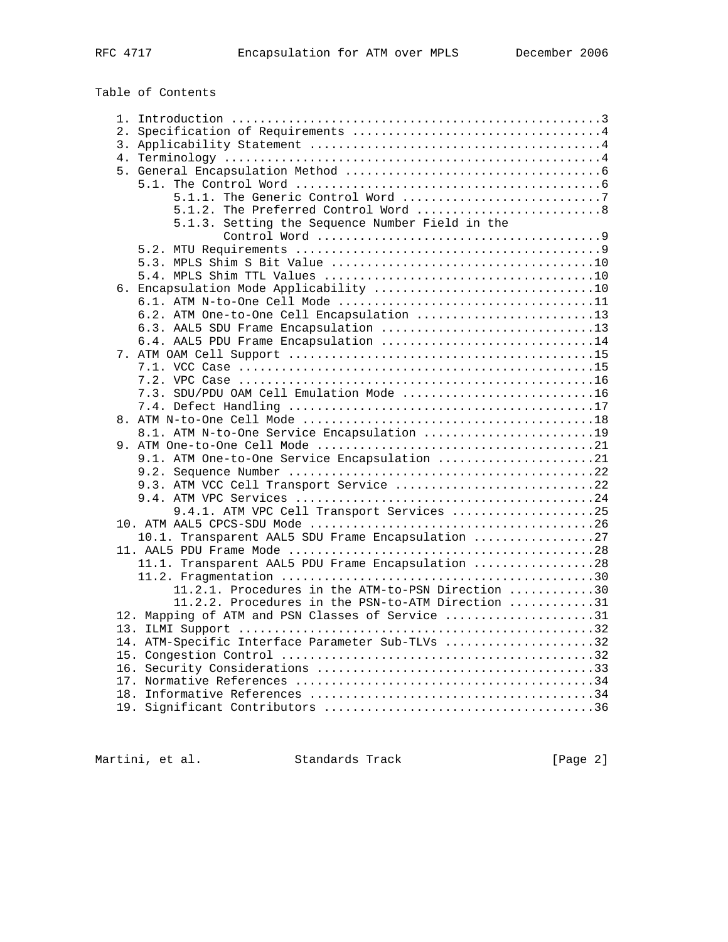Table of Contents

| 5.1.2. The Preferred Control Word  8              |  |
|---------------------------------------------------|--|
| 5.1.3. Setting the Sequence Number Field in the   |  |
|                                                   |  |
|                                                   |  |
|                                                   |  |
|                                                   |  |
|                                                   |  |
|                                                   |  |
| 6.2. ATM One-to-One Cell Encapsulation 13         |  |
| 6.3. AAL5 SDU Frame Encapsulation 13              |  |
| 6.4. AAL5 PDU Frame Encapsulation 14              |  |
|                                                   |  |
|                                                   |  |
|                                                   |  |
| 7.3. SDU/PDU OAM Cell Emulation Mode 16           |  |
|                                                   |  |
|                                                   |  |
|                                                   |  |
| 8.1. ATM N-to-One Service Encapsulation 19        |  |
| 9.1. ATM One-to-One Service Encapsulation 21      |  |
|                                                   |  |
|                                                   |  |
| 9.3. ATM VCC Cell Transport Service 22            |  |
|                                                   |  |
| 9.4.1. ATM VPC Cell Transport Services 25         |  |
|                                                   |  |
| 10.1. Transparent AAL5 SDU Frame Encapsulation 27 |  |
|                                                   |  |
| 11.1. Transparent AAL5 PDU Frame Encapsulation 28 |  |
|                                                   |  |
| 11.2.1. Procedures in the ATM-to-PSN Direction 30 |  |
| 11.2.2. Procedures in the PSN-to-ATM Direction 31 |  |
| 12. Mapping of ATM and PSN Classes of Service 31  |  |
|                                                   |  |
| 14. ATM-Specific Interface Parameter Sub-TLVs 32  |  |
|                                                   |  |
|                                                   |  |
|                                                   |  |
|                                                   |  |
|                                                   |  |
|                                                   |  |

Martini, et al. Standards Track [Page 2]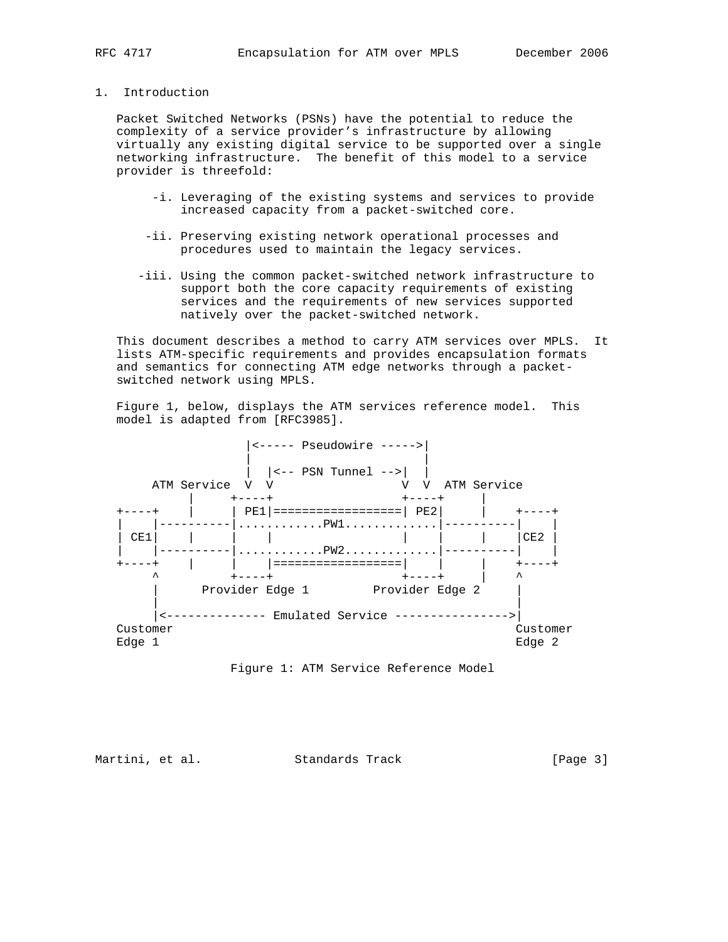## 1. Introduction

 Packet Switched Networks (PSNs) have the potential to reduce the complexity of a service provider's infrastructure by allowing virtually any existing digital service to be supported over a single networking infrastructure. The benefit of this model to a service provider is threefold:

- -i. Leveraging of the existing systems and services to provide increased capacity from a packet-switched core.
- -ii. Preserving existing network operational processes and procedures used to maintain the legacy services.
- -iii. Using the common packet-switched network infrastructure to support both the core capacity requirements of existing services and the requirements of new services supported natively over the packet-switched network.

 This document describes a method to carry ATM services over MPLS. It lists ATM-specific requirements and provides encapsulation formats and semantics for connecting ATM edge networks through a packet switched network using MPLS.

 Figure 1, below, displays the ATM services reference model. This model is adapted from [RFC3985].



Figure 1: ATM Service Reference Model

Martini, et al. Standards Track [Page 3]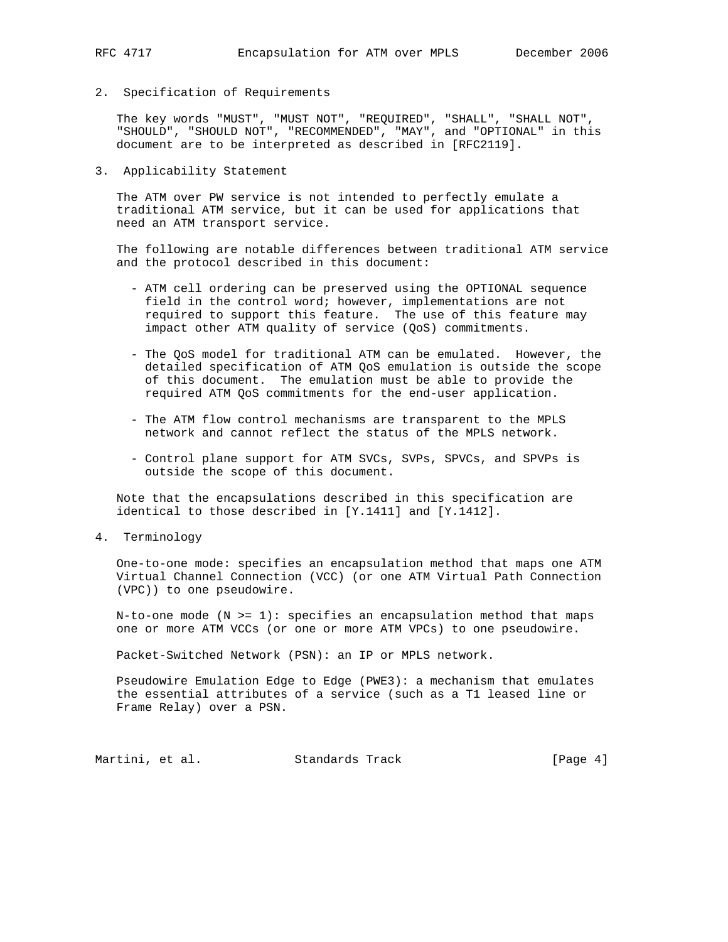### 2. Specification of Requirements

 The key words "MUST", "MUST NOT", "REQUIRED", "SHALL", "SHALL NOT", "SHOULD", "SHOULD NOT", "RECOMMENDED", "MAY", and "OPTIONAL" in this document are to be interpreted as described in [RFC2119].

3. Applicability Statement

 The ATM over PW service is not intended to perfectly emulate a traditional ATM service, but it can be used for applications that need an ATM transport service.

 The following are notable differences between traditional ATM service and the protocol described in this document:

- ATM cell ordering can be preserved using the OPTIONAL sequence field in the control word; however, implementations are not required to support this feature. The use of this feature may impact other ATM quality of service (QoS) commitments.
- The QoS model for traditional ATM can be emulated. However, the detailed specification of ATM QoS emulation is outside the scope of this document. The emulation must be able to provide the required ATM QoS commitments for the end-user application.
- The ATM flow control mechanisms are transparent to the MPLS network and cannot reflect the status of the MPLS network.
- Control plane support for ATM SVCs, SVPs, SPVCs, and SPVPs is outside the scope of this document.

 Note that the encapsulations described in this specification are identical to those described in [Y.1411] and [Y.1412].

4. Terminology

 One-to-one mode: specifies an encapsulation method that maps one ATM Virtual Channel Connection (VCC) (or one ATM Virtual Path Connection (VPC)) to one pseudowire.

N-to-one mode  $(N \geq 1)$ : specifies an encapsulation method that maps one or more ATM VCCs (or one or more ATM VPCs) to one pseudowire.

Packet-Switched Network (PSN): an IP or MPLS network.

 Pseudowire Emulation Edge to Edge (PWE3): a mechanism that emulates the essential attributes of a service (such as a T1 leased line or Frame Relay) over a PSN.

Martini, et al. Standards Track [Page 4]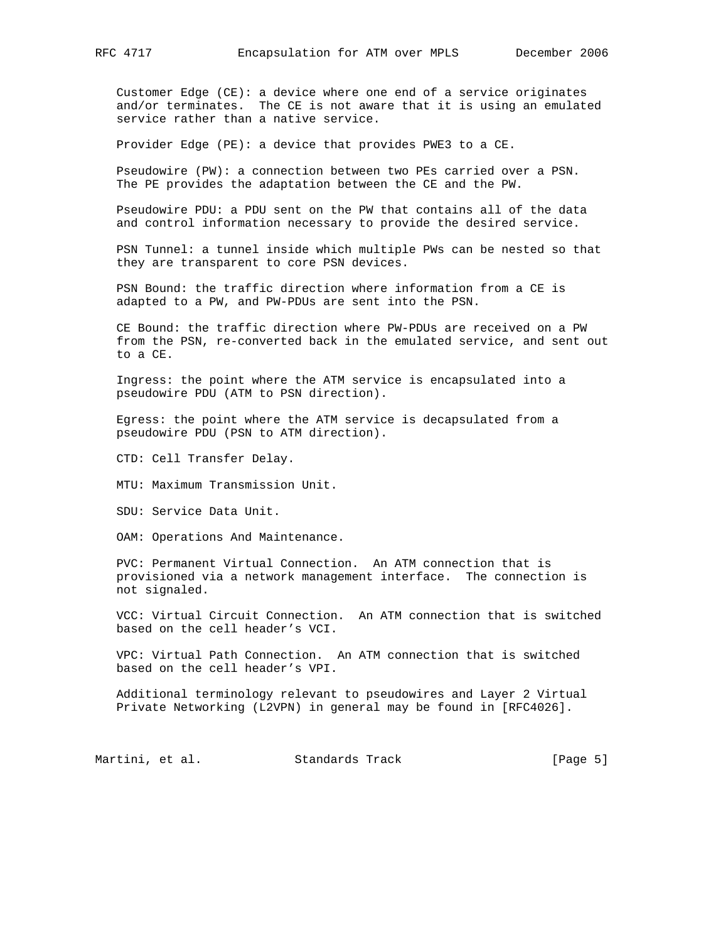Customer Edge (CE): a device where one end of a service originates and/or terminates. The CE is not aware that it is using an emulated service rather than a native service.

Provider Edge (PE): a device that provides PWE3 to a CE.

 Pseudowire (PW): a connection between two PEs carried over a PSN. The PE provides the adaptation between the CE and the PW.

 Pseudowire PDU: a PDU sent on the PW that contains all of the data and control information necessary to provide the desired service.

 PSN Tunnel: a tunnel inside which multiple PWs can be nested so that they are transparent to core PSN devices.

 PSN Bound: the traffic direction where information from a CE is adapted to a PW, and PW-PDUs are sent into the PSN.

 CE Bound: the traffic direction where PW-PDUs are received on a PW from the PSN, re-converted back in the emulated service, and sent out to a CE.

 Ingress: the point where the ATM service is encapsulated into a pseudowire PDU (ATM to PSN direction).

 Egress: the point where the ATM service is decapsulated from a pseudowire PDU (PSN to ATM direction).

CTD: Cell Transfer Delay.

MTU: Maximum Transmission Unit.

SDU: Service Data Unit.

OAM: Operations And Maintenance.

 PVC: Permanent Virtual Connection. An ATM connection that is provisioned via a network management interface. The connection is not signaled.

 VCC: Virtual Circuit Connection. An ATM connection that is switched based on the cell header's VCI.

 VPC: Virtual Path Connection. An ATM connection that is switched based on the cell header's VPI.

 Additional terminology relevant to pseudowires and Layer 2 Virtual Private Networking (L2VPN) in general may be found in [RFC4026].

Martini, et al. Standards Track [Page 5]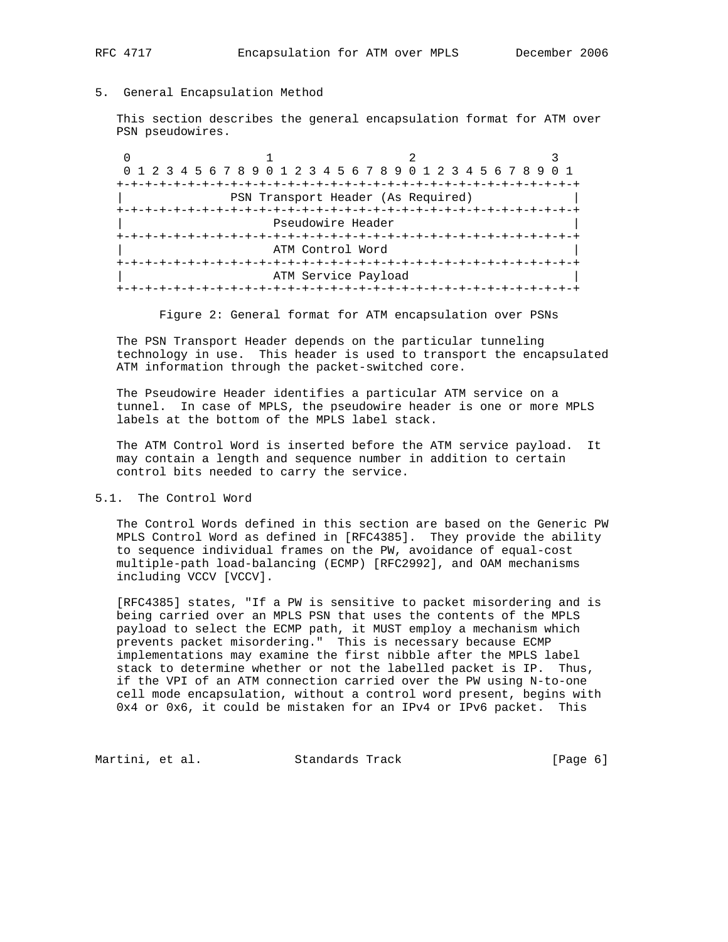# 5. General Encapsulation Method

 This section describes the general encapsulation format for ATM over PSN pseudowires.

0  $1$  2 3 0 1 2 3 4 5 6 7 8 9 0 1 2 3 4 5 6 7 8 9 0 1 2 3 4 5 6 7 8 9 0 1 +-+-+-+-+-+-+-+-+-+-+-+-+-+-+-+-+-+-+-+-+-+-+-+-+-+-+-+-+-+-+-+-+ PSN Transport Header (As Required) +-+-+-+-+-+-+-+-+-+-+-+-+-+-+-+-+-+-+-+-+-+-+-+-+-+-+-+-+-+-+-+-+ Pseudowire Header +-+-+-+-+-+-+-+-+-+-+-+-+-+-+-+-+-+-+-+-+-+-+-+-+-+-+-+-+-+-+-+-+ ATM Control Word +-+-+-+-+-+-+-+-+-+-+-+-+-+-+-+-+-+-+-+-+-+-+-+-+-+-+-+-+-+-+-+-+ ATM Service Payload +-+-+-+-+-+-+-+-+-+-+-+-+-+-+-+-+-+-+-+-+-+-+-+-+-+-+-+-+-+-+-+-+

Figure 2: General format for ATM encapsulation over PSNs

 The PSN Transport Header depends on the particular tunneling technology in use. This header is used to transport the encapsulated ATM information through the packet-switched core.

 The Pseudowire Header identifies a particular ATM service on a tunnel. In case of MPLS, the pseudowire header is one or more MPLS labels at the bottom of the MPLS label stack.

 The ATM Control Word is inserted before the ATM service payload. It may contain a length and sequence number in addition to certain control bits needed to carry the service.

### 5.1. The Control Word

 The Control Words defined in this section are based on the Generic PW MPLS Control Word as defined in [RFC4385]. They provide the ability to sequence individual frames on the PW, avoidance of equal-cost multiple-path load-balancing (ECMP) [RFC2992], and OAM mechanisms including VCCV [VCCV].

 [RFC4385] states, "If a PW is sensitive to packet misordering and is being carried over an MPLS PSN that uses the contents of the MPLS payload to select the ECMP path, it MUST employ a mechanism which prevents packet misordering." This is necessary because ECMP implementations may examine the first nibble after the MPLS label stack to determine whether or not the labelled packet is IP. Thus, if the VPI of an ATM connection carried over the PW using N-to-one cell mode encapsulation, without a control word present, begins with 0x4 or 0x6, it could be mistaken for an IPv4 or IPv6 packet. This

Martini, et al. Standards Track (Page 6)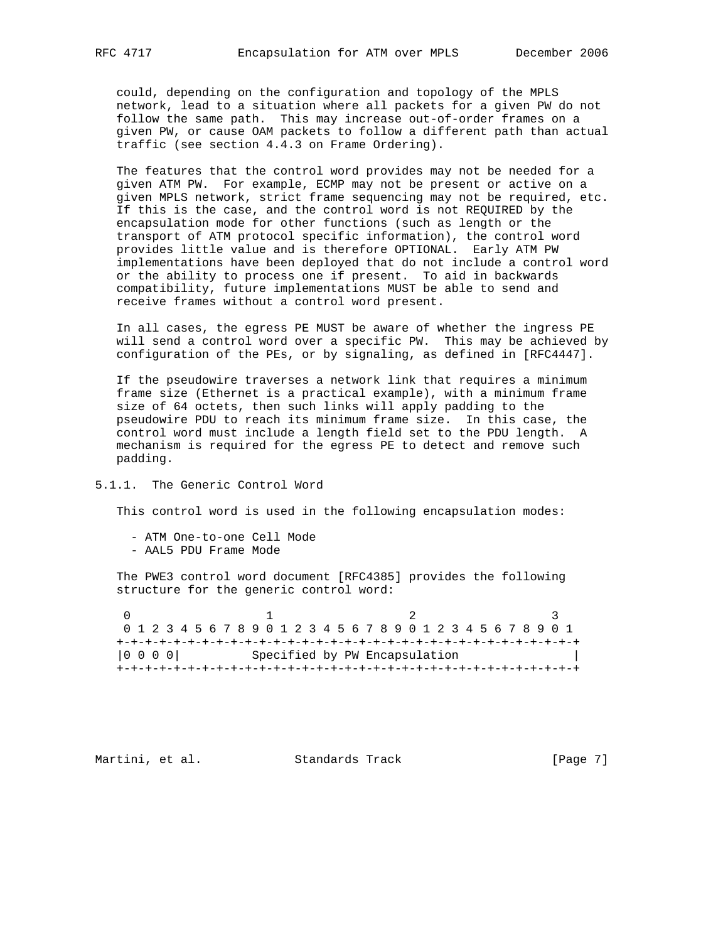could, depending on the configuration and topology of the MPLS network, lead to a situation where all packets for a given PW do not follow the same path. This may increase out-of-order frames on a given PW, or cause OAM packets to follow a different path than actual traffic (see section 4.4.3 on Frame Ordering).

 The features that the control word provides may not be needed for a given ATM PW. For example, ECMP may not be present or active on a given MPLS network, strict frame sequencing may not be required, etc. If this is the case, and the control word is not REQUIRED by the encapsulation mode for other functions (such as length or the transport of ATM protocol specific information), the control word provides little value and is therefore OPTIONAL. Early ATM PW implementations have been deployed that do not include a control word or the ability to process one if present. To aid in backwards compatibility, future implementations MUST be able to send and receive frames without a control word present.

 In all cases, the egress PE MUST be aware of whether the ingress PE will send a control word over a specific PW. This may be achieved by configuration of the PEs, or by signaling, as defined in [RFC4447].

 If the pseudowire traverses a network link that requires a minimum frame size (Ethernet is a practical example), with a minimum frame size of 64 octets, then such links will apply padding to the pseudowire PDU to reach its minimum frame size. In this case, the control word must include a length field set to the PDU length. A mechanism is required for the egress PE to detect and remove such padding.

# 5.1.1. The Generic Control Word

This control word is used in the following encapsulation modes:

- ATM One-to-one Cell Mode
- AAL5 PDU Frame Mode

 The PWE3 control word document [RFC4385] provides the following structure for the generic control word:

0  $1$  2 3 0 1 2 3 4 5 6 7 8 9 0 1 2 3 4 5 6 7 8 9 0 1 2 3 4 5 6 7 8 9 0 1 +-+-+-+-+-+-+-+-+-+-+-+-+-+-+-+-+-+-+-+-+-+-+-+-+-+-+-+-+-+-+-+-+ |0 0 0 0| Specified by PW Encapsulation +-+-+-+-+-+-+-+-+-+-+-+-+-+-+-+-+-+-+-+-+-+-+-+-+-+-+-+-+-+-+-+-+

Martini, et al. Standards Track [Page 7]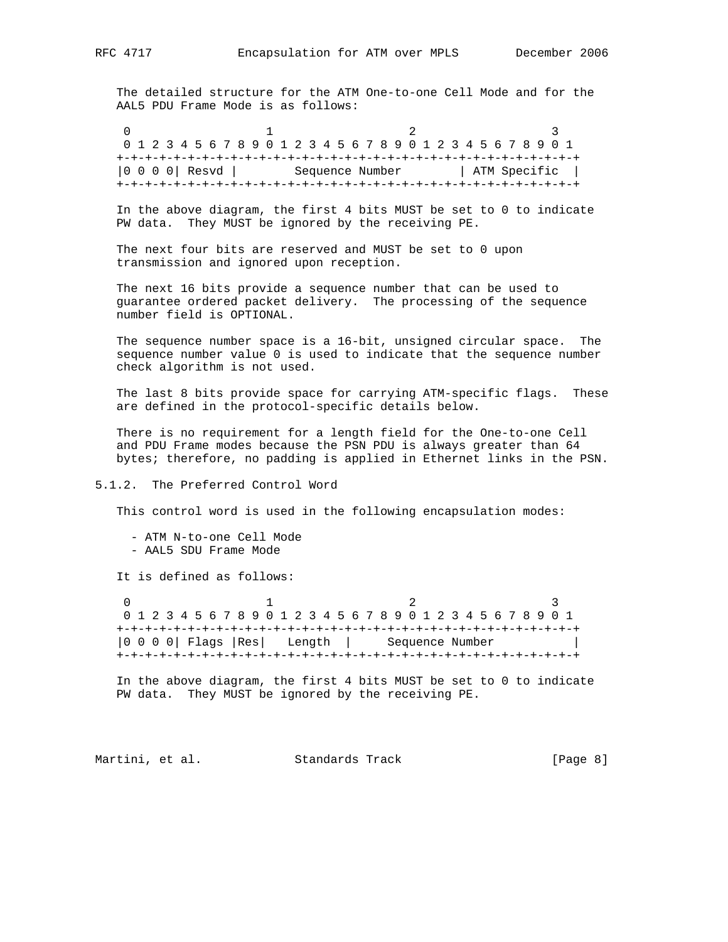The detailed structure for the ATM One-to-one Cell Mode and for the AAL5 PDU Frame Mode is as follows:

0  $1$  2 3 0 1 2 3 4 5 6 7 8 9 0 1 2 3 4 5 6 7 8 9 0 1 2 3 4 5 6 7 8 9 0 1 +-+-+-+-+-+-+-+-+-+-+-+-+-+-+-+-+-+-+-+-+-+-+-+-+-+-+-+-+-+-+-+-+ |0 0 0 0 | Resvd | Sequence Number | ATM Specific | +-+-+-+-+-+-+-+-+-+-+-+-+-+-+-+-+-+-+-+-+-+-+-+-+-+-+-+-+-+-+-+-+

 In the above diagram, the first 4 bits MUST be set to 0 to indicate PW data. They MUST be ignored by the receiving PE.

 The next four bits are reserved and MUST be set to 0 upon transmission and ignored upon reception.

 The next 16 bits provide a sequence number that can be used to guarantee ordered packet delivery. The processing of the sequence number field is OPTIONAL.

 The sequence number space is a 16-bit, unsigned circular space. The sequence number value 0 is used to indicate that the sequence number check algorithm is not used.

 The last 8 bits provide space for carrying ATM-specific flags. These are defined in the protocol-specific details below.

 There is no requirement for a length field for the One-to-one Cell and PDU Frame modes because the PSN PDU is always greater than 64 bytes; therefore, no padding is applied in Ethernet links in the PSN.

#### 5.1.2. The Preferred Control Word

This control word is used in the following encapsulation modes:

 - ATM N-to-one Cell Mode - AAL5 SDU Frame Mode

It is defined as follows:

0  $1$  2 3 0 1 2 3 4 5 6 7 8 9 0 1 2 3 4 5 6 7 8 9 0 1 2 3 4 5 6 7 8 9 0 1 +-+-+-+-+-+-+-+-+-+-+-+-+-+-+-+-+-+-+-+-+-+-+-+-+-+-+-+-+-+-+-+-+ |0 0 0 0| Flags |Res| Length | Sequence Number | +-+-+-+-+-+-+-+-+-+-+-+-+-+-+-+-+-+-+-+-+-+-+-+-+-+-+-+-+-+-+-+-+

 In the above diagram, the first 4 bits MUST be set to 0 to indicate PW data. They MUST be ignored by the receiving PE.

Martini, et al. Standards Track [Page 8]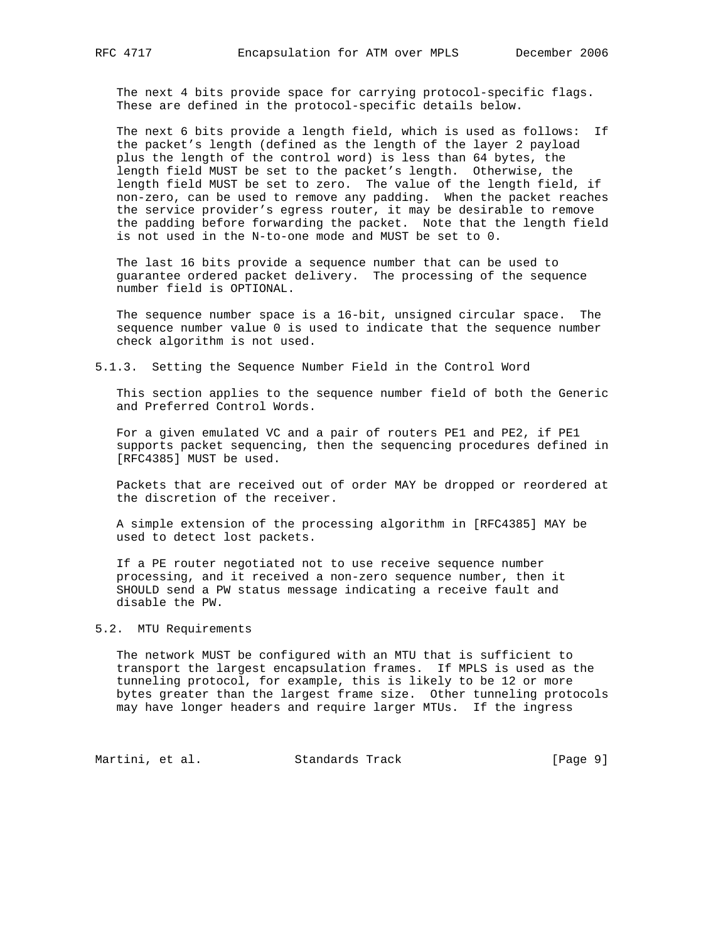The next 4 bits provide space for carrying protocol-specific flags. These are defined in the protocol-specific details below.

 The next 6 bits provide a length field, which is used as follows: If the packet's length (defined as the length of the layer 2 payload plus the length of the control word) is less than 64 bytes, the length field MUST be set to the packet's length. Otherwise, the length field MUST be set to zero. The value of the length field, if non-zero, can be used to remove any padding. When the packet reaches the service provider's egress router, it may be desirable to remove the padding before forwarding the packet. Note that the length field is not used in the N-to-one mode and MUST be set to 0.

 The last 16 bits provide a sequence number that can be used to guarantee ordered packet delivery. The processing of the sequence number field is OPTIONAL.

 The sequence number space is a 16-bit, unsigned circular space. The sequence number value 0 is used to indicate that the sequence number check algorithm is not used.

5.1.3. Setting the Sequence Number Field in the Control Word

 This section applies to the sequence number field of both the Generic and Preferred Control Words.

 For a given emulated VC and a pair of routers PE1 and PE2, if PE1 supports packet sequencing, then the sequencing procedures defined in [RFC4385] MUST be used.

 Packets that are received out of order MAY be dropped or reordered at the discretion of the receiver.

 A simple extension of the processing algorithm in [RFC4385] MAY be used to detect lost packets.

 If a PE router negotiated not to use receive sequence number processing, and it received a non-zero sequence number, then it SHOULD send a PW status message indicating a receive fault and disable the PW.

## 5.2. MTU Requirements

 The network MUST be configured with an MTU that is sufficient to transport the largest encapsulation frames. If MPLS is used as the tunneling protocol, for example, this is likely to be 12 or more bytes greater than the largest frame size. Other tunneling protocols may have longer headers and require larger MTUs. If the ingress

Martini, et al. Standards Track [Page 9]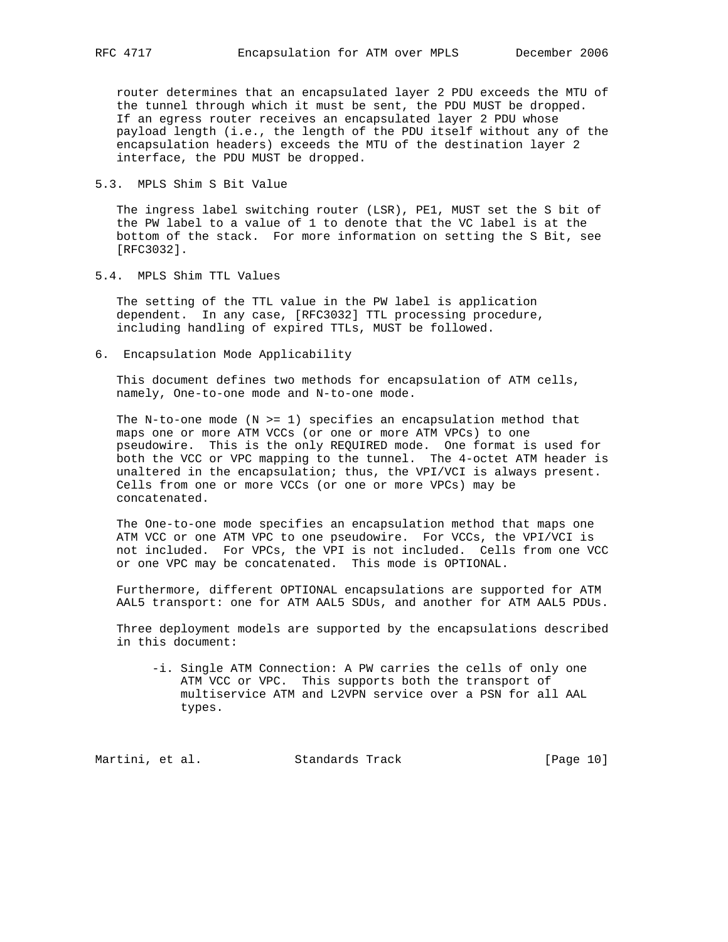router determines that an encapsulated layer 2 PDU exceeds the MTU of the tunnel through which it must be sent, the PDU MUST be dropped. If an egress router receives an encapsulated layer 2 PDU whose payload length (i.e., the length of the PDU itself without any of the encapsulation headers) exceeds the MTU of the destination layer 2 interface, the PDU MUST be dropped.

5.3. MPLS Shim S Bit Value

 The ingress label switching router (LSR), PE1, MUST set the S bit of the PW label to a value of 1 to denote that the VC label is at the bottom of the stack. For more information on setting the S Bit, see [RFC3032].

5.4. MPLS Shim TTL Values

 The setting of the TTL value in the PW label is application dependent. In any case, [RFC3032] TTL processing procedure, including handling of expired TTLs, MUST be followed.

6. Encapsulation Mode Applicability

 This document defines two methods for encapsulation of ATM cells, namely, One-to-one mode and N-to-one mode.

The N-to-one mode  $(N \geq 1)$  specifies an encapsulation method that maps one or more ATM VCCs (or one or more ATM VPCs) to one pseudowire. This is the only REQUIRED mode. One format is used for both the VCC or VPC mapping to the tunnel. The 4-octet ATM header is unaltered in the encapsulation; thus, the VPI/VCI is always present. Cells from one or more VCCs (or one or more VPCs) may be concatenated.

 The One-to-one mode specifies an encapsulation method that maps one ATM VCC or one ATM VPC to one pseudowire. For VCCs, the VPI/VCI is not included. For VPCs, the VPI is not included. Cells from one VCC or one VPC may be concatenated. This mode is OPTIONAL.

 Furthermore, different OPTIONAL encapsulations are supported for ATM AAL5 transport: one for ATM AAL5 SDUs, and another for ATM AAL5 PDUs.

 Three deployment models are supported by the encapsulations described in this document:

 -i. Single ATM Connection: A PW carries the cells of only one ATM VCC or VPC. This supports both the transport of multiservice ATM and L2VPN service over a PSN for all AAL types.

Martini, et al. Standards Track [Page 10]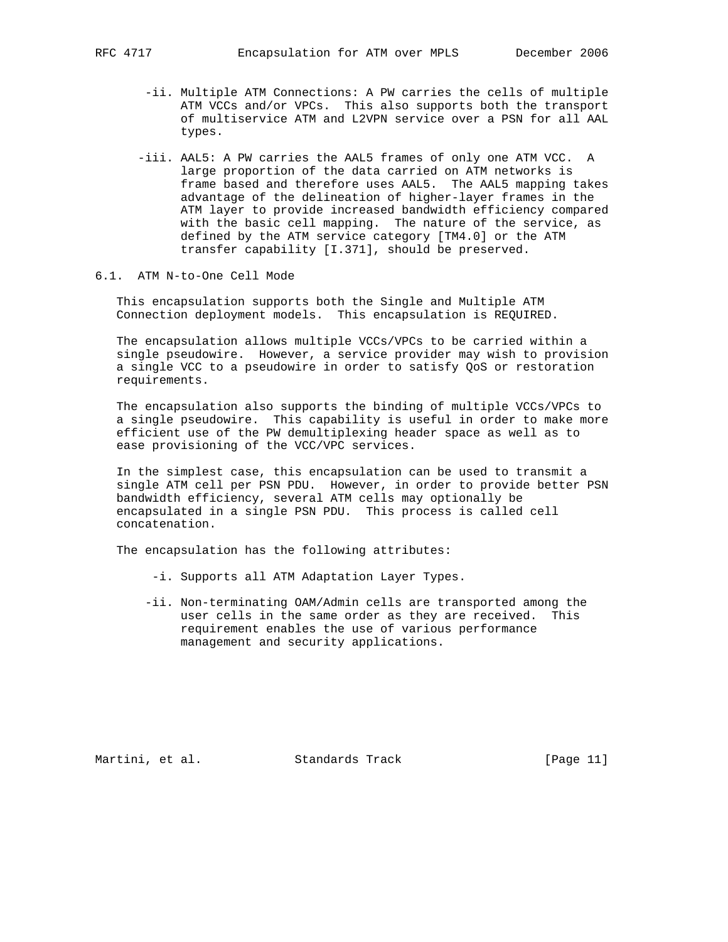- -ii. Multiple ATM Connections: A PW carries the cells of multiple ATM VCCs and/or VPCs. This also supports both the transport of multiservice ATM and L2VPN service over a PSN for all AAL types.
- -iii. AAL5: A PW carries the AAL5 frames of only one ATM VCC. A large proportion of the data carried on ATM networks is frame based and therefore uses AAL5. The AAL5 mapping takes advantage of the delineation of higher-layer frames in the ATM layer to provide increased bandwidth efficiency compared with the basic cell mapping. The nature of the service, as defined by the ATM service category [TM4.0] or the ATM transfer capability [I.371], should be preserved.

### 6.1. ATM N-to-One Cell Mode

 This encapsulation supports both the Single and Multiple ATM Connection deployment models. This encapsulation is REQUIRED.

 The encapsulation allows multiple VCCs/VPCs to be carried within a single pseudowire. However, a service provider may wish to provision a single VCC to a pseudowire in order to satisfy QoS or restoration requirements.

 The encapsulation also supports the binding of multiple VCCs/VPCs to a single pseudowire. This capability is useful in order to make more efficient use of the PW demultiplexing header space as well as to ease provisioning of the VCC/VPC services.

 In the simplest case, this encapsulation can be used to transmit a single ATM cell per PSN PDU. However, in order to provide better PSN bandwidth efficiency, several ATM cells may optionally be encapsulated in a single PSN PDU. This process is called cell concatenation.

The encapsulation has the following attributes:

- -i. Supports all ATM Adaptation Layer Types.
- -ii. Non-terminating OAM/Admin cells are transported among the user cells in the same order as they are received. This requirement enables the use of various performance management and security applications.

Martini, et al. Standards Track [Page 11]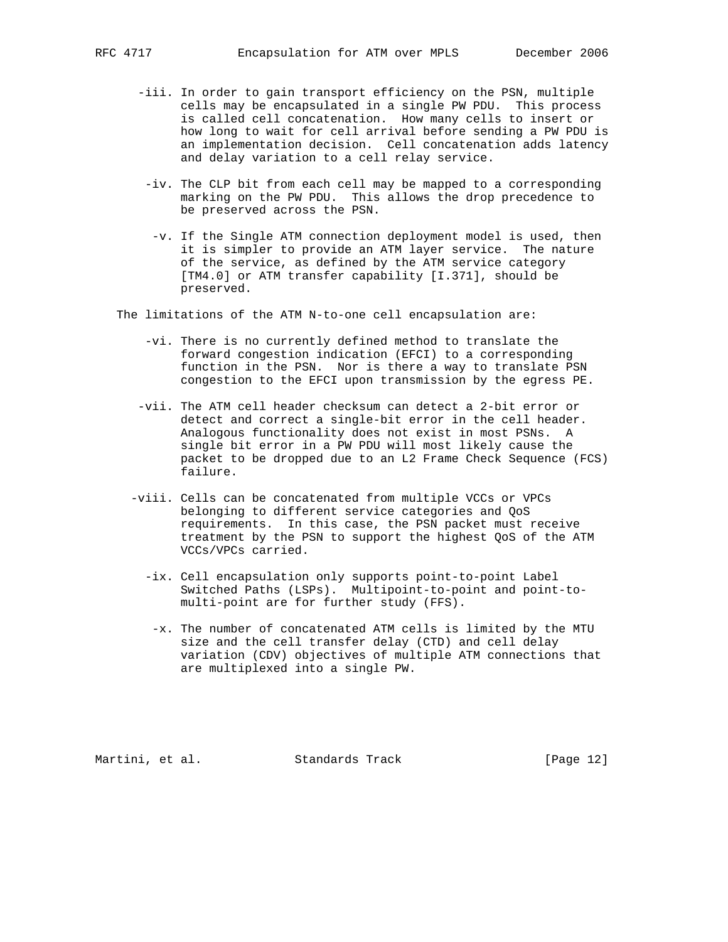- -iii. In order to gain transport efficiency on the PSN, multiple cells may be encapsulated in a single PW PDU. This process is called cell concatenation. How many cells to insert or how long to wait for cell arrival before sending a PW PDU is an implementation decision. Cell concatenation adds latency and delay variation to a cell relay service.
- -iv. The CLP bit from each cell may be mapped to a corresponding marking on the PW PDU. This allows the drop precedence to be preserved across the PSN.
- -v. If the Single ATM connection deployment model is used, then it is simpler to provide an ATM layer service. The nature of the service, as defined by the ATM service category [TM4.0] or ATM transfer capability [I.371], should be preserved.

The limitations of the ATM N-to-one cell encapsulation are:

- -vi. There is no currently defined method to translate the forward congestion indication (EFCI) to a corresponding function in the PSN. Nor is there a way to translate PSN congestion to the EFCI upon transmission by the egress PE.
- -vii. The ATM cell header checksum can detect a 2-bit error or detect and correct a single-bit error in the cell header. Analogous functionality does not exist in most PSNs. A single bit error in a PW PDU will most likely cause the packet to be dropped due to an L2 Frame Check Sequence (FCS) failure.
- -viii. Cells can be concatenated from multiple VCCs or VPCs belonging to different service categories and QoS requirements. In this case, the PSN packet must receive treatment by the PSN to support the highest QoS of the ATM VCCs/VPCs carried.
	- -ix. Cell encapsulation only supports point-to-point Label Switched Paths (LSPs). Multipoint-to-point and point-to multi-point are for further study (FFS).
	- -x. The number of concatenated ATM cells is limited by the MTU size and the cell transfer delay (CTD) and cell delay variation (CDV) objectives of multiple ATM connections that are multiplexed into a single PW.

Martini, et al. Standards Track [Page 12]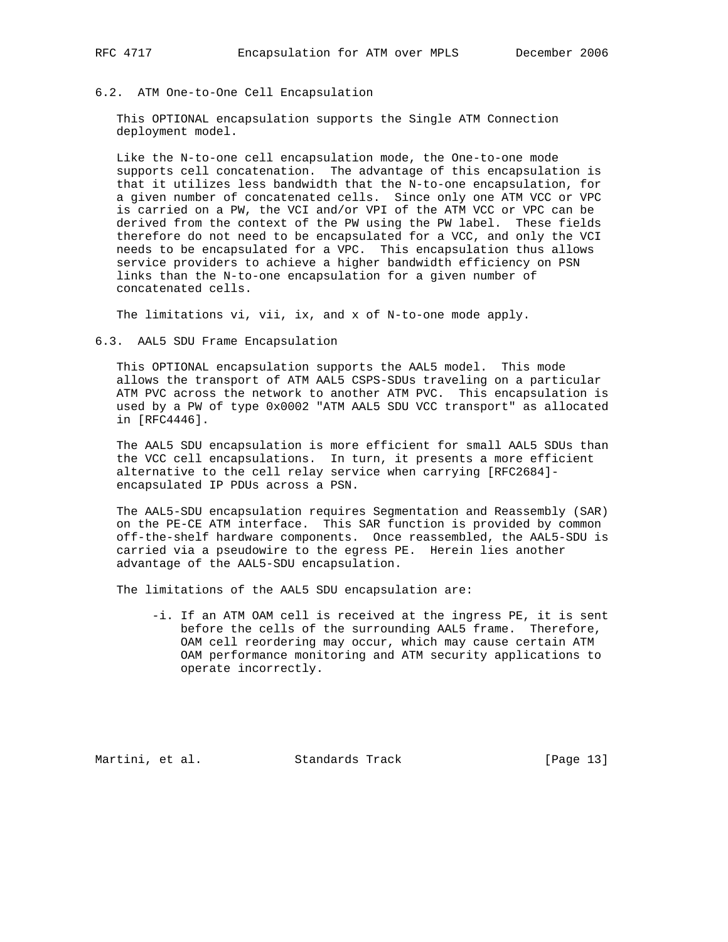#### 6.2. ATM One-to-One Cell Encapsulation

 This OPTIONAL encapsulation supports the Single ATM Connection deployment model.

 Like the N-to-one cell encapsulation mode, the One-to-one mode supports cell concatenation. The advantage of this encapsulation is that it utilizes less bandwidth that the N-to-one encapsulation, for a given number of concatenated cells. Since only one ATM VCC or VPC is carried on a PW, the VCI and/or VPI of the ATM VCC or VPC can be derived from the context of the PW using the PW label. These fields therefore do not need to be encapsulated for a VCC, and only the VCI needs to be encapsulated for a VPC. This encapsulation thus allows service providers to achieve a higher bandwidth efficiency on PSN links than the N-to-one encapsulation for a given number of concatenated cells.

The limitations vi, vii, ix, and x of N-to-one mode apply.

#### 6.3. AAL5 SDU Frame Encapsulation

 This OPTIONAL encapsulation supports the AAL5 model. This mode allows the transport of ATM AAL5 CSPS-SDUs traveling on a particular ATM PVC across the network to another ATM PVC. This encapsulation is used by a PW of type 0x0002 "ATM AAL5 SDU VCC transport" as allocated in [RFC4446].

 The AAL5 SDU encapsulation is more efficient for small AAL5 SDUs than the VCC cell encapsulations. In turn, it presents a more efficient alternative to the cell relay service when carrying [RFC2684] encapsulated IP PDUs across a PSN.

 The AAL5-SDU encapsulation requires Segmentation and Reassembly (SAR) on the PE-CE ATM interface. This SAR function is provided by common off-the-shelf hardware components. Once reassembled, the AAL5-SDU is carried via a pseudowire to the egress PE. Herein lies another advantage of the AAL5-SDU encapsulation.

The limitations of the AAL5 SDU encapsulation are:

 -i. If an ATM OAM cell is received at the ingress PE, it is sent before the cells of the surrounding AAL5 frame. Therefore, OAM cell reordering may occur, which may cause certain ATM OAM performance monitoring and ATM security applications to operate incorrectly.

Martini, et al. Standards Track [Page 13]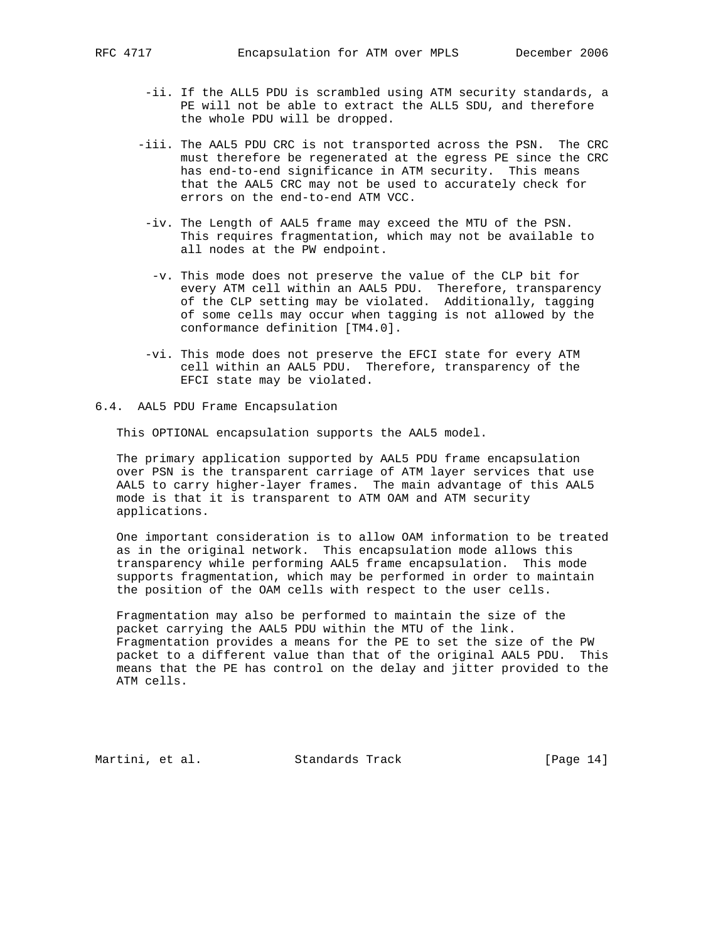- -ii. If the ALL5 PDU is scrambled using ATM security standards, a PE will not be able to extract the ALL5 SDU, and therefore the whole PDU will be dropped.
- -iii. The AAL5 PDU CRC is not transported across the PSN. The CRC must therefore be regenerated at the egress PE since the CRC has end-to-end significance in ATM security. This means that the AAL5 CRC may not be used to accurately check for errors on the end-to-end ATM VCC.
- -iv. The Length of AAL5 frame may exceed the MTU of the PSN. This requires fragmentation, which may not be available to all nodes at the PW endpoint.
	- -v. This mode does not preserve the value of the CLP bit for every ATM cell within an AAL5 PDU. Therefore, transparency of the CLP setting may be violated. Additionally, tagging of some cells may occur when tagging is not allowed by the conformance definition [TM4.0].
- -vi. This mode does not preserve the EFCI state for every ATM cell within an AAL5 PDU. Therefore, transparency of the EFCI state may be violated.
- 6.4. AAL5 PDU Frame Encapsulation

This OPTIONAL encapsulation supports the AAL5 model.

 The primary application supported by AAL5 PDU frame encapsulation over PSN is the transparent carriage of ATM layer services that use AAL5 to carry higher-layer frames. The main advantage of this AAL5 mode is that it is transparent to ATM OAM and ATM security applications.

 One important consideration is to allow OAM information to be treated as in the original network. This encapsulation mode allows this transparency while performing AAL5 frame encapsulation. This mode supports fragmentation, which may be performed in order to maintain the position of the OAM cells with respect to the user cells.

 Fragmentation may also be performed to maintain the size of the packet carrying the AAL5 PDU within the MTU of the link. Fragmentation provides a means for the PE to set the size of the PW packet to a different value than that of the original AAL5 PDU. This means that the PE has control on the delay and jitter provided to the ATM cells.

Martini, et al. Standards Track [Page 14]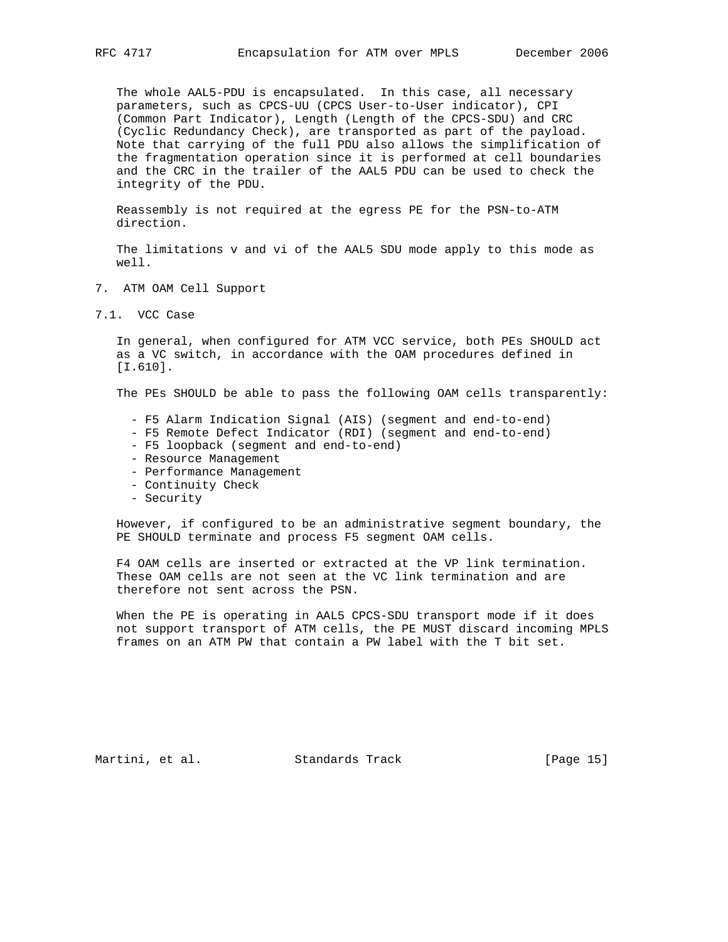The whole AAL5-PDU is encapsulated. In this case, all necessary parameters, such as CPCS-UU (CPCS User-to-User indicator), CPI (Common Part Indicator), Length (Length of the CPCS-SDU) and CRC (Cyclic Redundancy Check), are transported as part of the payload. Note that carrying of the full PDU also allows the simplification of the fragmentation operation since it is performed at cell boundaries and the CRC in the trailer of the AAL5 PDU can be used to check the integrity of the PDU.

 Reassembly is not required at the egress PE for the PSN-to-ATM direction.

 The limitations v and vi of the AAL5 SDU mode apply to this mode as well.

- 7. ATM OAM Cell Support
- 7.1. VCC Case

 In general, when configured for ATM VCC service, both PEs SHOULD act as a VC switch, in accordance with the OAM procedures defined in [I.610].

The PEs SHOULD be able to pass the following OAM cells transparently:

- F5 Alarm Indication Signal (AIS) (segment and end-to-end)
- F5 Remote Defect Indicator (RDI) (segment and end-to-end)
- F5 loopback (segment and end-to-end)
- Resource Management
- Performance Management
- Continuity Check
- Security

 However, if configured to be an administrative segment boundary, the PE SHOULD terminate and process F5 segment OAM cells.

 F4 OAM cells are inserted or extracted at the VP link termination. These OAM cells are not seen at the VC link termination and are therefore not sent across the PSN.

 When the PE is operating in AAL5 CPCS-SDU transport mode if it does not support transport of ATM cells, the PE MUST discard incoming MPLS frames on an ATM PW that contain a PW label with the T bit set.

Martini, et al. Standards Track [Page 15]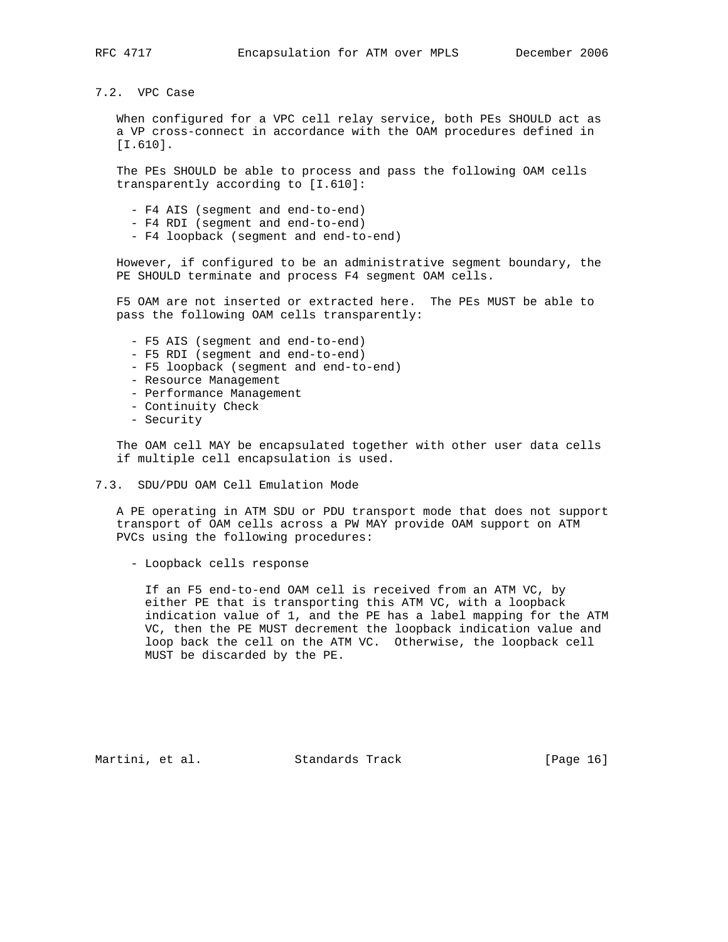## 7.2. VPC Case

 When configured for a VPC cell relay service, both PEs SHOULD act as a VP cross-connect in accordance with the OAM procedures defined in [I.610].

 The PEs SHOULD be able to process and pass the following OAM cells transparently according to [I.610]:

- F4 AIS (segment and end-to-end)
- F4 RDI (segment and end-to-end)
- F4 loopback (segment and end-to-end)

 However, if configured to be an administrative segment boundary, the PE SHOULD terminate and process F4 segment OAM cells.

 F5 OAM are not inserted or extracted here. The PEs MUST be able to pass the following OAM cells transparently:

- F5 AIS (segment and end-to-end)
- F5 RDI (segment and end-to-end)
- F5 loopback (segment and end-to-end)
- Resource Management
- Performance Management
- Continuity Check
- Security

 The OAM cell MAY be encapsulated together with other user data cells if multiple cell encapsulation is used.

7.3. SDU/PDU OAM Cell Emulation Mode

 A PE operating in ATM SDU or PDU transport mode that does not support transport of OAM cells across a PW MAY provide OAM support on ATM PVCs using the following procedures:

- Loopback cells response

 If an F5 end-to-end OAM cell is received from an ATM VC, by either PE that is transporting this ATM VC, with a loopback indication value of 1, and the PE has a label mapping for the ATM VC, then the PE MUST decrement the loopback indication value and loop back the cell on the ATM VC. Otherwise, the loopback cell MUST be discarded by the PE.

Martini, et al. Standards Track [Page 16]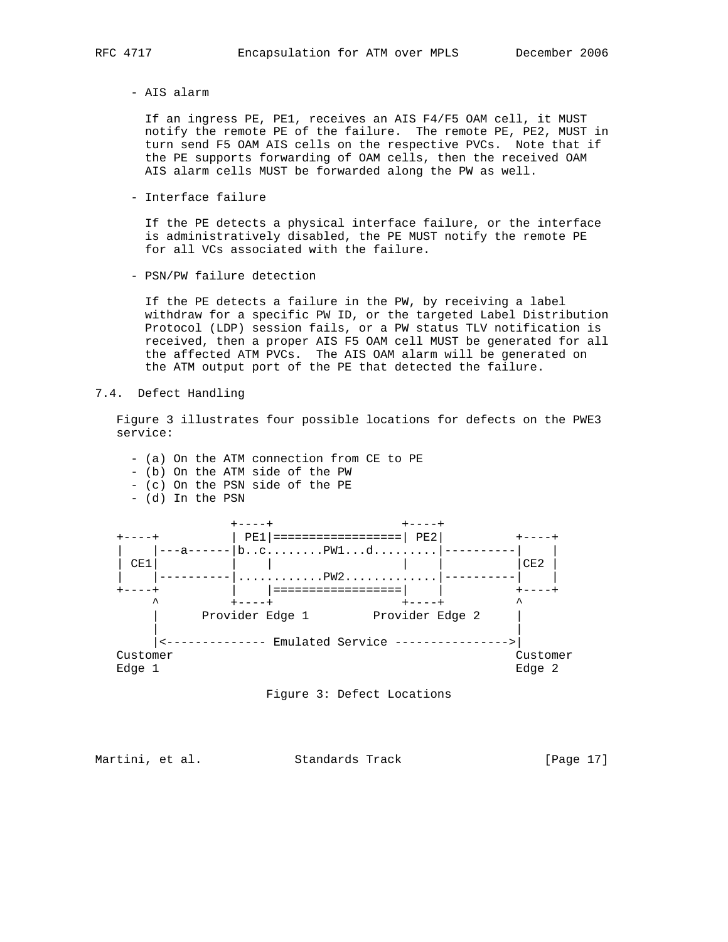- AIS alarm

 If an ingress PE, PE1, receives an AIS F4/F5 OAM cell, it MUST notify the remote PE of the failure. The remote PE, PE2, MUST in turn send F5 OAM AIS cells on the respective PVCs. Note that if the PE supports forwarding of OAM cells, then the received OAM AIS alarm cells MUST be forwarded along the PW as well.

- Interface failure

 If the PE detects a physical interface failure, or the interface is administratively disabled, the PE MUST notify the remote PE for all VCs associated with the failure.

- PSN/PW failure detection

 If the PE detects a failure in the PW, by receiving a label withdraw for a specific PW ID, or the targeted Label Distribution Protocol (LDP) session fails, or a PW status TLV notification is received, then a proper AIS F5 OAM cell MUST be generated for all the affected ATM PVCs. The AIS OAM alarm will be generated on the ATM output port of the PE that detected the failure.

7.4. Defect Handling

 Figure 3 illustrates four possible locations for defects on the PWE3 service:





Martini, et al. Standards Track [Page 17]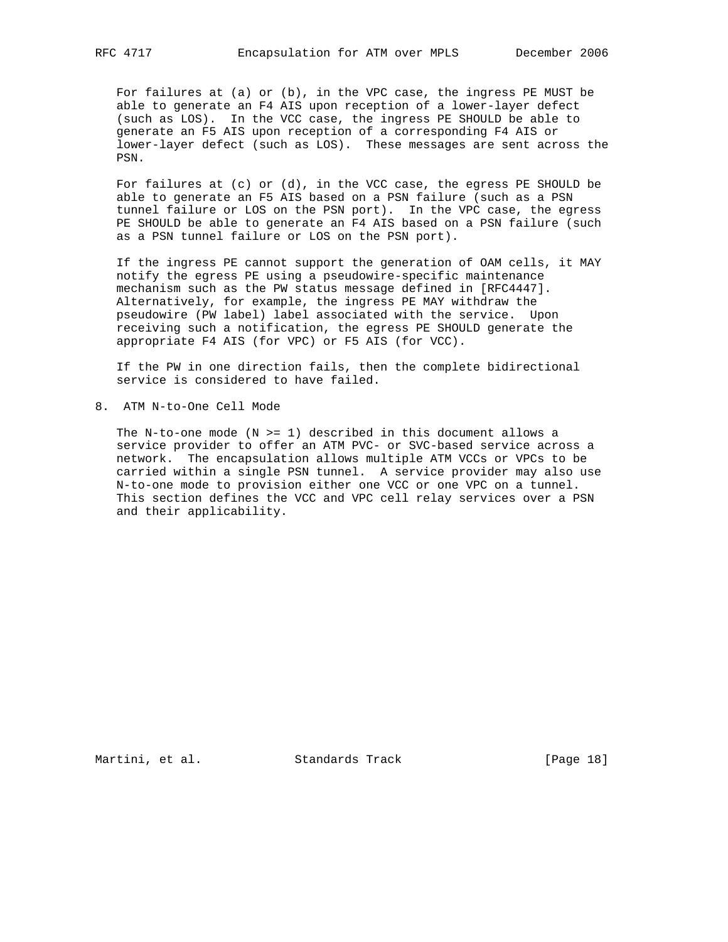For failures at (a) or (b), in the VPC case, the ingress PE MUST be able to generate an F4 AIS upon reception of a lower-layer defect (such as LOS). In the VCC case, the ingress PE SHOULD be able to generate an F5 AIS upon reception of a corresponding F4 AIS or lower-layer defect (such as LOS). These messages are sent across the PSN.

For failures at  $(c)$  or  $(d)$ , in the VCC case, the egress PE SHOULD be able to generate an F5 AIS based on a PSN failure (such as a PSN tunnel failure or LOS on the PSN port). In the VPC case, the egress PE SHOULD be able to generate an F4 AIS based on a PSN failure (such as a PSN tunnel failure or LOS on the PSN port).

 If the ingress PE cannot support the generation of OAM cells, it MAY notify the egress PE using a pseudowire-specific maintenance mechanism such as the PW status message defined in [RFC4447]. Alternatively, for example, the ingress PE MAY withdraw the pseudowire (PW label) label associated with the service. Upon receiving such a notification, the egress PE SHOULD generate the appropriate F4 AIS (for VPC) or F5 AIS (for VCC).

 If the PW in one direction fails, then the complete bidirectional service is considered to have failed.

8. ATM N-to-One Cell Mode

The N-to-one mode  $(N \geq 1)$  described in this document allows a service provider to offer an ATM PVC- or SVC-based service across a network. The encapsulation allows multiple ATM VCCs or VPCs to be carried within a single PSN tunnel. A service provider may also use N-to-one mode to provision either one VCC or one VPC on a tunnel. This section defines the VCC and VPC cell relay services over a PSN and their applicability.

Martini, et al. Standards Track [Page 18]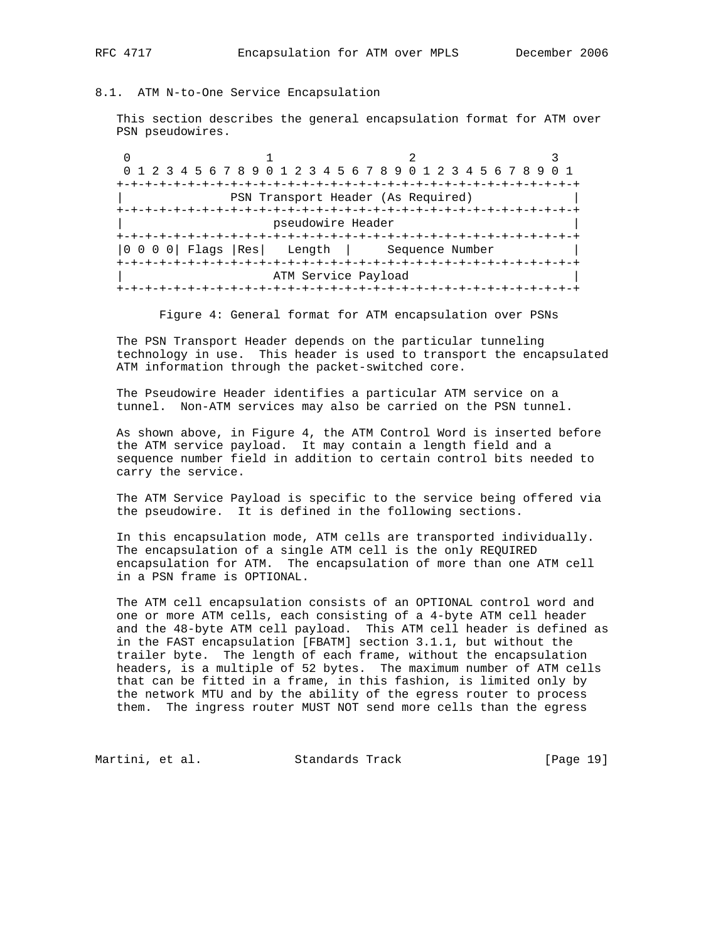### 8.1. ATM N-to-One Service Encapsulation

 This section describes the general encapsulation format for ATM over PSN pseudowires.

0  $1$  2 3 0 1 2 3 4 5 6 7 8 9 0 1 2 3 4 5 6 7 8 9 0 1 2 3 4 5 6 7 8 9 0 1 +-+-+-+-+-+-+-+-+-+-+-+-+-+-+-+-+-+-+-+-+-+-+-+-+-+-+-+-+-+-+-+-+ | PSN Transport Header (As Required) | +-+-+-+-+-+-+-+-+-+-+-+-+-+-+-+-+-+-+-+-+-+-+-+-+-+-+-+-+-+-+-+-+ | pseudowire Header | +-+-+-+-+-+-+-+-+-+-+-+-+-+-+-+-+-+-+-+-+-+-+-+-+-+-+-+-+-+-+-+-+ |0 0 0 0| Flags |Res| Length | Sequence Number | +-+-+-+-+-+-+-+-+-+-+-+-+-+-+-+-+-+-+-+-+-+-+-+-+-+-+-+-+-+-+-+-+ ATM Service Payload +-+-+-+-+-+-+-+-+-+-+-+-+-+-+-+-+-+-+-+-+-+-+-+-+-+-+-+-+-+-+-+-+

Figure 4: General format for ATM encapsulation over PSNs

 The PSN Transport Header depends on the particular tunneling technology in use. This header is used to transport the encapsulated ATM information through the packet-switched core.

 The Pseudowire Header identifies a particular ATM service on a tunnel. Non-ATM services may also be carried on the PSN tunnel.

 As shown above, in Figure 4, the ATM Control Word is inserted before the ATM service payload. It may contain a length field and a sequence number field in addition to certain control bits needed to carry the service.

 The ATM Service Payload is specific to the service being offered via the pseudowire. It is defined in the following sections.

 In this encapsulation mode, ATM cells are transported individually. The encapsulation of a single ATM cell is the only REQUIRED encapsulation for ATM. The encapsulation of more than one ATM cell in a PSN frame is OPTIONAL.

 The ATM cell encapsulation consists of an OPTIONAL control word and one or more ATM cells, each consisting of a 4-byte ATM cell header and the 48-byte ATM cell payload. This ATM cell header is defined as in the FAST encapsulation [FBATM] section 3.1.1, but without the trailer byte. The length of each frame, without the encapsulation headers, is a multiple of 52 bytes. The maximum number of ATM cells that can be fitted in a frame, in this fashion, is limited only by the network MTU and by the ability of the egress router to process them. The ingress router MUST NOT send more cells than the egress

Martini, et al. Standards Track [Page 19]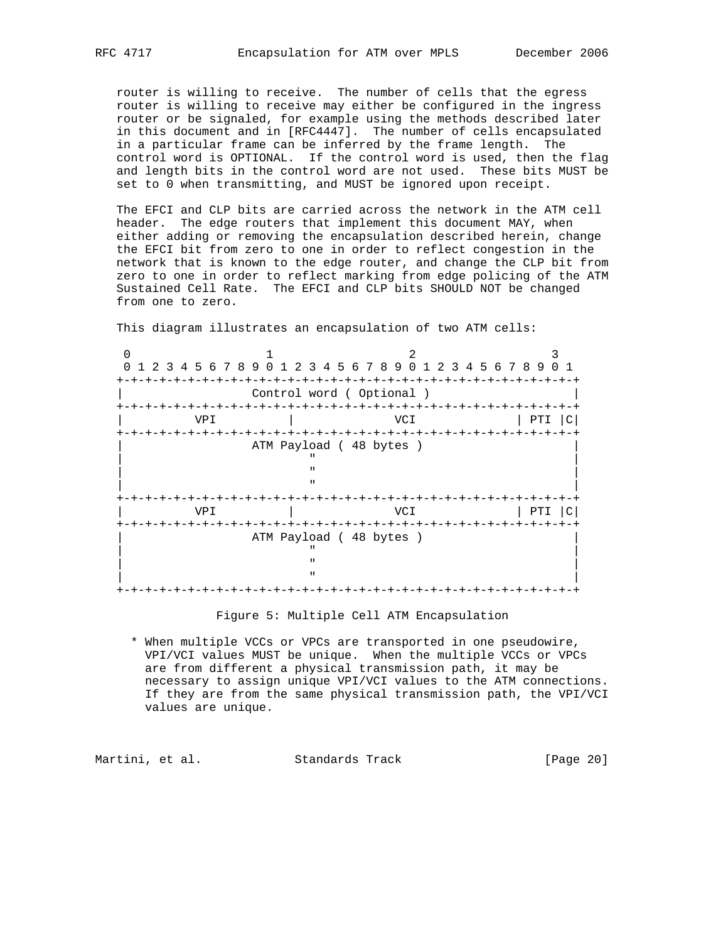router is willing to receive. The number of cells that the egress router is willing to receive may either be configured in the ingress router or be signaled, for example using the methods described later in this document and in [RFC4447]. The number of cells encapsulated in a particular frame can be inferred by the frame length. The control word is OPTIONAL. If the control word is used, then the flag and length bits in the control word are not used. These bits MUST be set to 0 when transmitting, and MUST be ignored upon receipt.

 The EFCI and CLP bits are carried across the network in the ATM cell header. The edge routers that implement this document MAY, when either adding or removing the encapsulation described herein, change the EFCI bit from zero to one in order to reflect congestion in the network that is known to the edge router, and change the CLP bit from zero to one in order to reflect marking from edge policing of the ATM Sustained Cell Rate. The EFCI and CLP bits SHOULD NOT be changed from one to zero.

|     |                                                        | 0 1 2 3 4 5 6 7 8 9 0 1 2 3 4 5 6 7 8 9 0 1 2 3 4 5 6 7 8 9 |                      |
|-----|--------------------------------------------------------|-------------------------------------------------------------|----------------------|
|     |                                                        | Control word (Optional)                                     |                      |
| VPI |                                                        | VCI                                                         | PTI<br>$\mathcal{C}$ |
|     | ATM Payload (48 bytes)<br>$\mathbf{u}$<br>$\mathbf{u}$ |                                                             |                      |
| VPI |                                                        | VCI                                                         | PTI<br>$\mathcal{C}$ |
|     | ATM Payload (48 bytes)<br>п<br>$\mathbf{u}$            |                                                             |                      |

This diagram illustrates an encapsulation of two ATM cells:

Figure 5: Multiple Cell ATM Encapsulation

 \* When multiple VCCs or VPCs are transported in one pseudowire, VPI/VCI values MUST be unique. When the multiple VCCs or VPCs are from different a physical transmission path, it may be necessary to assign unique VPI/VCI values to the ATM connections. If they are from the same physical transmission path, the VPI/VCI values are unique.

Martini, et al. Standards Track [Page 20]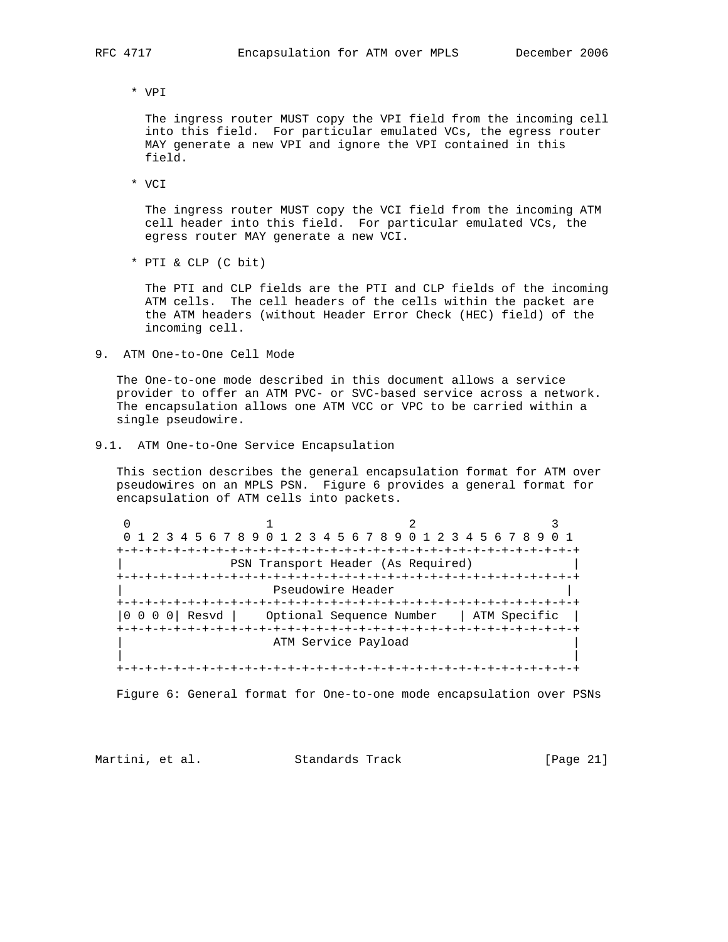\* VPI

 The ingress router MUST copy the VPI field from the incoming cell into this field. For particular emulated VCs, the egress router MAY generate a new VPI and ignore the VPI contained in this field.

\* VCI

 The ingress router MUST copy the VCI field from the incoming ATM cell header into this field. For particular emulated VCs, the egress router MAY generate a new VCI.

\* PTI & CLP (C bit)

 The PTI and CLP fields are the PTI and CLP fields of the incoming ATM cells. The cell headers of the cells within the packet are the ATM headers (without Header Error Check (HEC) field) of the incoming cell.

9. ATM One-to-One Cell Mode

 The One-to-one mode described in this document allows a service provider to offer an ATM PVC- or SVC-based service across a network. The encapsulation allows one ATM VCC or VPC to be carried within a single pseudowire.

9.1. ATM One-to-One Service Encapsulation

 This section describes the general encapsulation format for ATM over pseudowires on an MPLS PSN. Figure 6 provides a general format for encapsulation of ATM cells into packets.

0  $1$  2 3 0 1 2 3 4 5 6 7 8 9 0 1 2 3 4 5 6 7 8 9 0 1 2 3 4 5 6 7 8 9 0 1 +-+-+-+-+-+-+-+-+-+-+-+-+-+-+-+-+-+-+-+-+-+-+-+-+-+-+-+-+-+-+-+-+ | PSN Transport Header (As Required) | +-+-+-+-+-+-+-+-+-+-+-+-+-+-+-+-+-+-+-+-+-+-+-+-+-+-+-+-+-+-+-+-+ Pseudowire Header +-+-+-+-+-+-+-+-+-+-+-+-+-+-+-+-+-+-+-+-+-+-+-+-+-+-+-+-+-+-+-+-+ |0 0 0 0| Resvd | Optional Sequence Number | ATM Specific | +-+-+-+-+-+-+-+-+-+-+-+-+-+-+-+-+-+-+-+-+-+-+-+-+-+-+-+-+-+-+-+-+ ATM Service Payload | | +-+-+-+-+-+-+-+-+-+-+-+-+-+-+-+-+-+-+-+-+-+-+-+-+-+-+-+-+-+-+-+-+

Figure 6: General format for One-to-one mode encapsulation over PSNs

Martini, et al. Standards Track [Page 21]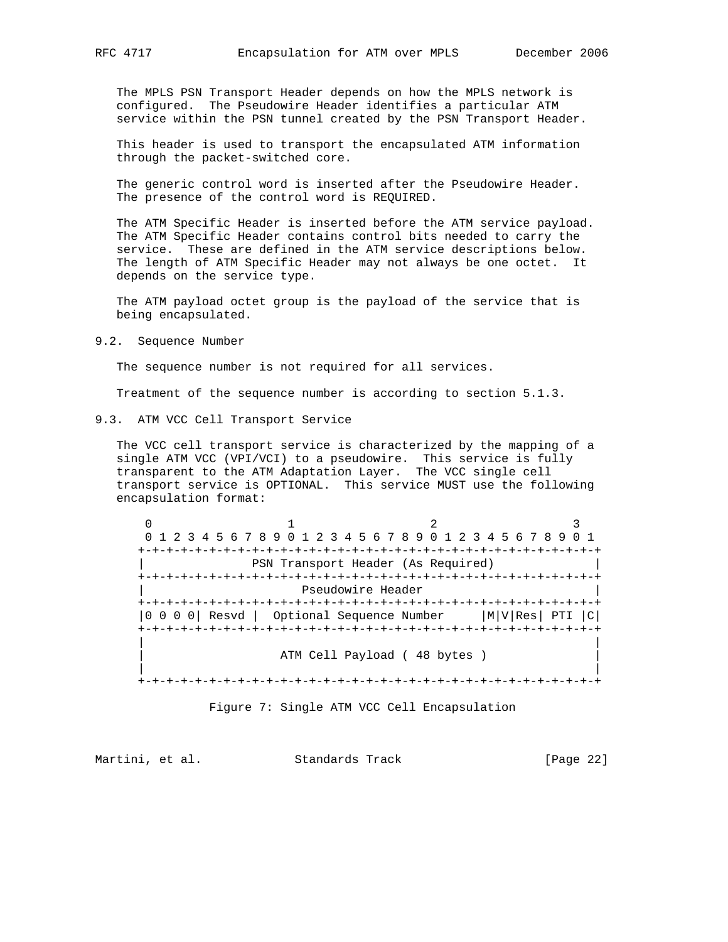The MPLS PSN Transport Header depends on how the MPLS network is configured. The Pseudowire Header identifies a particular ATM service within the PSN tunnel created by the PSN Transport Header.

 This header is used to transport the encapsulated ATM information through the packet-switched core.

 The generic control word is inserted after the Pseudowire Header. The presence of the control word is REQUIRED.

 The ATM Specific Header is inserted before the ATM service payload. The ATM Specific Header contains control bits needed to carry the service. These are defined in the ATM service descriptions below. The length of ATM Specific Header may not always be one octet. It depends on the service type.

 The ATM payload octet group is the payload of the service that is being encapsulated.

9.2. Sequence Number

The sequence number is not required for all services.

Treatment of the sequence number is according to section 5.1.3.

9.3. ATM VCC Cell Transport Service

 The VCC cell transport service is characterized by the mapping of a single ATM VCC (VPI/VCI) to a pseudowire. This service is fully transparent to the ATM Adaptation Layer. The VCC single cell transport service is OPTIONAL. This service MUST use the following encapsulation format:

 $0$  1 2 3 0 1 2 3 4 5 6 7 8 9 0 1 2 3 4 5 6 7 8 9 0 1 2 3 4 5 6 7 8 9 0 1 +-+-+-+-+-+-+-+-+-+-+-+-+-+-+-+-+-+-+-+-+-+-+-+-+-+-+-+-+-+-+-+-+ | PSN Transport Header (As Required) | +-+-+-+-+-+-+-+-+-+-+-+-+-+-+-+-+-+-+-+-+-+-+-+-+-+-+-+-+-+-+-+-+ Pseudowire Header +-+-+-+-+-+-+-+-+-+-+-+-+-+-+-+-+-+-+-+-+-+-+-+-+-+-+-+-+-+-+-+-+ |0 0 0 0| Resvd | Optional Sequence Number |M|V|Res| PTI |C| +-+-+-+-+-+-+-+-+-+-+-+-+-+-+-+-+-+-+-+-+-+-+-+-+-+-+-+-+-+-+-+-+ | | ATM Cell Payload ( 48 bytes ) | | +-+-+-+-+-+-+-+-+-+-+-+-+-+-+-+-+-+-+-+-+-+-+-+-+-+-+-+-+-+-+-+-+

Figure 7: Single ATM VCC Cell Encapsulation

Martini, et al. Standards Track [Page 22]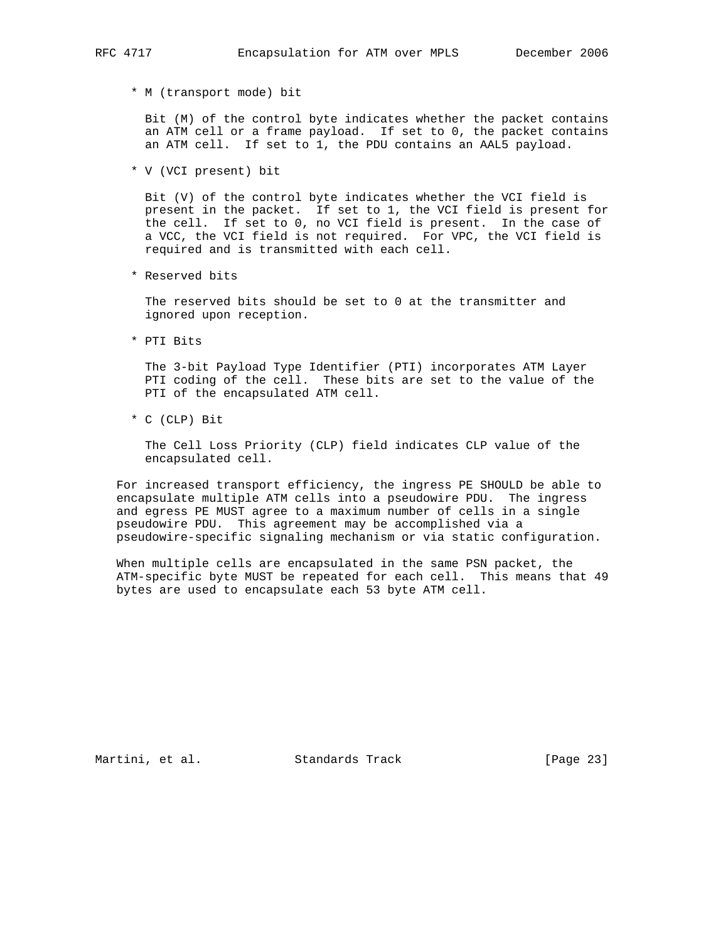- - \* M (transport mode) bit

 Bit (M) of the control byte indicates whether the packet contains an ATM cell or a frame payload. If set to 0, the packet contains an ATM cell. If set to 1, the PDU contains an AAL5 payload.

\* V (VCI present) bit

 Bit (V) of the control byte indicates whether the VCI field is present in the packet. If set to 1, the VCI field is present for the cell. If set to 0, no VCI field is present. In the case of a VCC, the VCI field is not required. For VPC, the VCI field is required and is transmitted with each cell.

\* Reserved bits

 The reserved bits should be set to 0 at the transmitter and ignored upon reception.

\* PTI Bits

 The 3-bit Payload Type Identifier (PTI) incorporates ATM Layer PTI coding of the cell. These bits are set to the value of the PTI of the encapsulated ATM cell.

\* C (CLP) Bit

 The Cell Loss Priority (CLP) field indicates CLP value of the encapsulated cell.

 For increased transport efficiency, the ingress PE SHOULD be able to encapsulate multiple ATM cells into a pseudowire PDU. The ingress and egress PE MUST agree to a maximum number of cells in a single pseudowire PDU. This agreement may be accomplished via a pseudowire-specific signaling mechanism or via static configuration.

 When multiple cells are encapsulated in the same PSN packet, the ATM-specific byte MUST be repeated for each cell. This means that 49 bytes are used to encapsulate each 53 byte ATM cell.

Martini, et al. Standards Track [Page 23]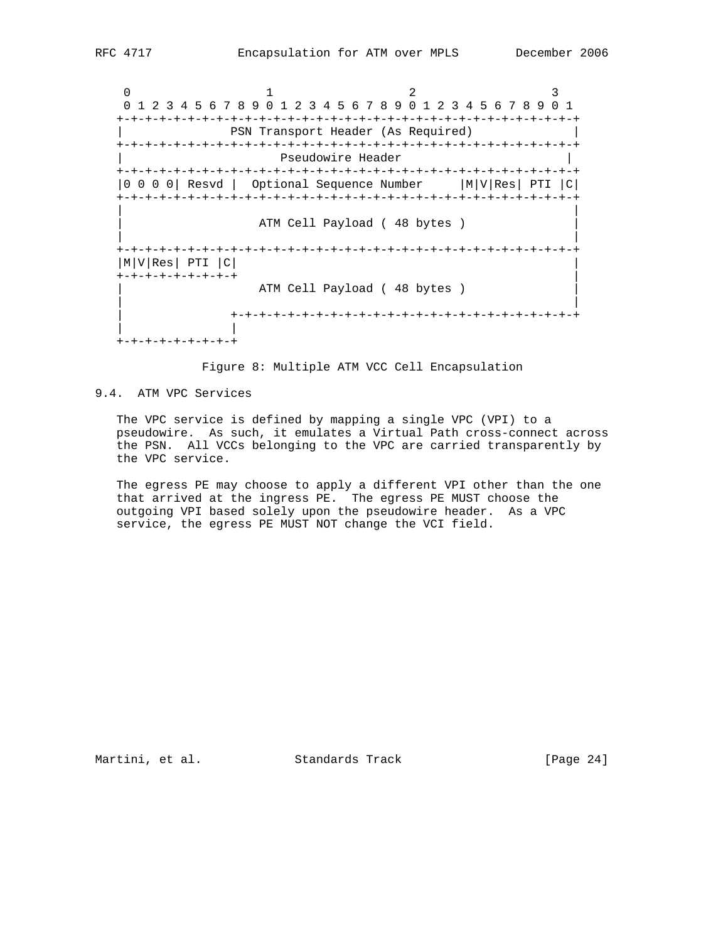0  $1$  2 3 0 1 2 3 4 5 6 7 8 9 0 1 2 3 4 5 6 7 8 9 0 1 2 3 4 5 6 7 8 9 0 1 +-+-+-+-+-+-+-+-+-+-+-+-+-+-+-+-+-+-+-+-+-+-+-+-+-+-+-+-+-+-+-+-+ | PSN Transport Header (As Required) | +-+-+-+-+-+-+-+-+-+-+-+-+-+-+-+-+-+-+-+-+-+-+-+-+-+-+-+-+-+-+-+-+ Pseudowire Header +-+-+-+-+-+-+-+-+-+-+-+-+-+-+-+-+-+-+-+-+-+-+-+-+-+-+-+-+-+-+-+-+ |0 0 0 0| Resvd | Optional Sequence Number |M|V|Res| PTI |C| +-+-+-+-+-+-+-+-+-+-+-+-+-+-+-+-+-+-+-+-+-+-+-+-+-+-+-+-+-+-+-+-+ | | ATM Cell Payload ( 48 bytes ) | | +-+-+-+-+-+-+-+-+-+-+-+-+-+-+-+-+-+-+-+-+-+-+-+-+-+-+-+-+-+-+-+-+  $|M|V|$ Res $|PTI|C|$  +-+-+-+-+-+-+-+-+ | ATM Cell Payload (48 bytes ) | | | +-+-+-+-+-+-+-+-+-+-+-+-+-+-+-+-+-+-+-+-+-+-+-+-+ | | +-+-+-+-+-+-+-+-+

Figure 8: Multiple ATM VCC Cell Encapsulation

### 9.4. ATM VPC Services

 The VPC service is defined by mapping a single VPC (VPI) to a pseudowire. As such, it emulates a Virtual Path cross-connect across the PSN. All VCCs belonging to the VPC are carried transparently by the VPC service.

 The egress PE may choose to apply a different VPI other than the one that arrived at the ingress PE. The egress PE MUST choose the outgoing VPI based solely upon the pseudowire header. As a VPC service, the egress PE MUST NOT change the VCI field.

Martini, et al. Standards Track [Page 24]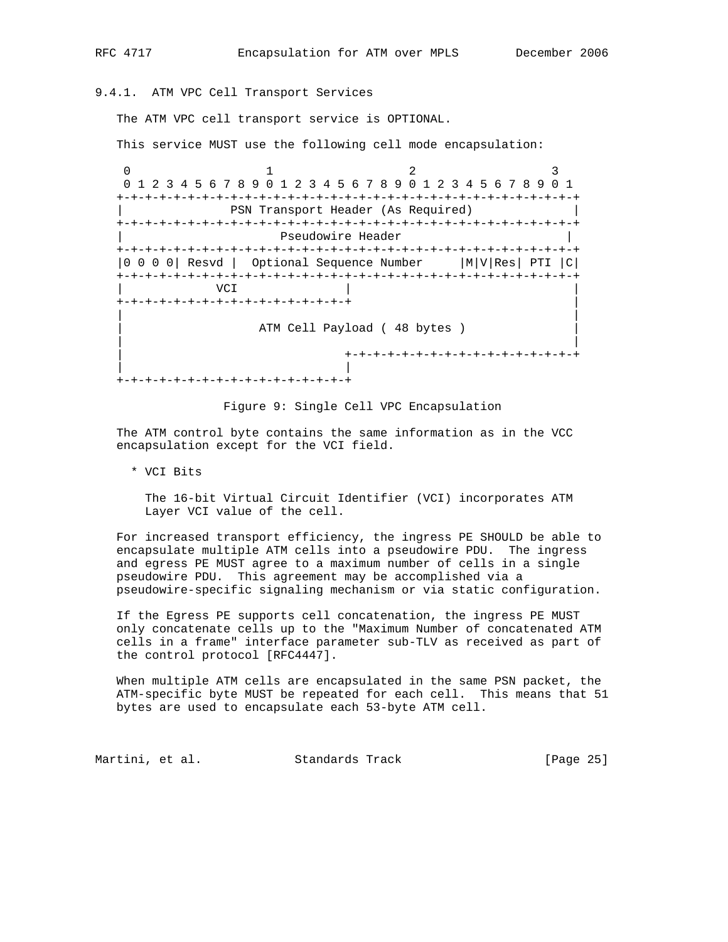# 9.4.1. ATM VPC Cell Transport Services

The ATM VPC cell transport service is OPTIONAL.

This service MUST use the following cell mode encapsulation:

0  $1$  2 3 0 1 2 3 4 5 6 7 8 9 0 1 2 3 4 5 6 7 8 9 0 1 2 3 4 5 6 7 8 9 0 1 +-+-+-+-+-+-+-+-+-+-+-+-+-+-+-+-+-+-+-+-+-+-+-+-+-+-+-+-+-+-+-+-+ | PSN Transport Header (As Required) | +-+-+-+-+-+-+-+-+-+-+-+-+-+-+-+-+-+-+-+-+-+-+-+-+-+-+-+-+-+-+-+-+ Pseudowire Header +-+-+-+-+-+-+-+-+-+-+-+-+-+-+-+-+-+-+-+-+-+-+-+-+-+-+-+-+-+-+-+-+ |0 0 0 0| Resvd | Optional Sequence Number |M|V|Res| PTI |C| +-+-+-+-+-+-+-+-+-+-+-+-+-+-+-+-+-+-+-+-+-+-+-+-+-+-+-+-+-+-+-+-+ | VCI | | +-+-+-+-+-+-+-+-+-+-+-+-+-+-+-+-+ | | | ATM Cell Payload ( 48 bytes ) | | | +-+-+-+-+-+-+-+-+-+-+-+-+-+-+-+-+ | | +-+-+-+-+-+-+-+-+-+-+-+-+-+-+-+-+

Figure 9: Single Cell VPC Encapsulation

 The ATM control byte contains the same information as in the VCC encapsulation except for the VCI field.

\* VCI Bits

 The 16-bit Virtual Circuit Identifier (VCI) incorporates ATM Layer VCI value of the cell.

 For increased transport efficiency, the ingress PE SHOULD be able to encapsulate multiple ATM cells into a pseudowire PDU. The ingress and egress PE MUST agree to a maximum number of cells in a single pseudowire PDU. This agreement may be accomplished via a pseudowire-specific signaling mechanism or via static configuration.

 If the Egress PE supports cell concatenation, the ingress PE MUST only concatenate cells up to the "Maximum Number of concatenated ATM cells in a frame" interface parameter sub-TLV as received as part of the control protocol [RFC4447].

 When multiple ATM cells are encapsulated in the same PSN packet, the ATM-specific byte MUST be repeated for each cell. This means that 51 bytes are used to encapsulate each 53-byte ATM cell.

Martini, et al. Standards Track [Page 25]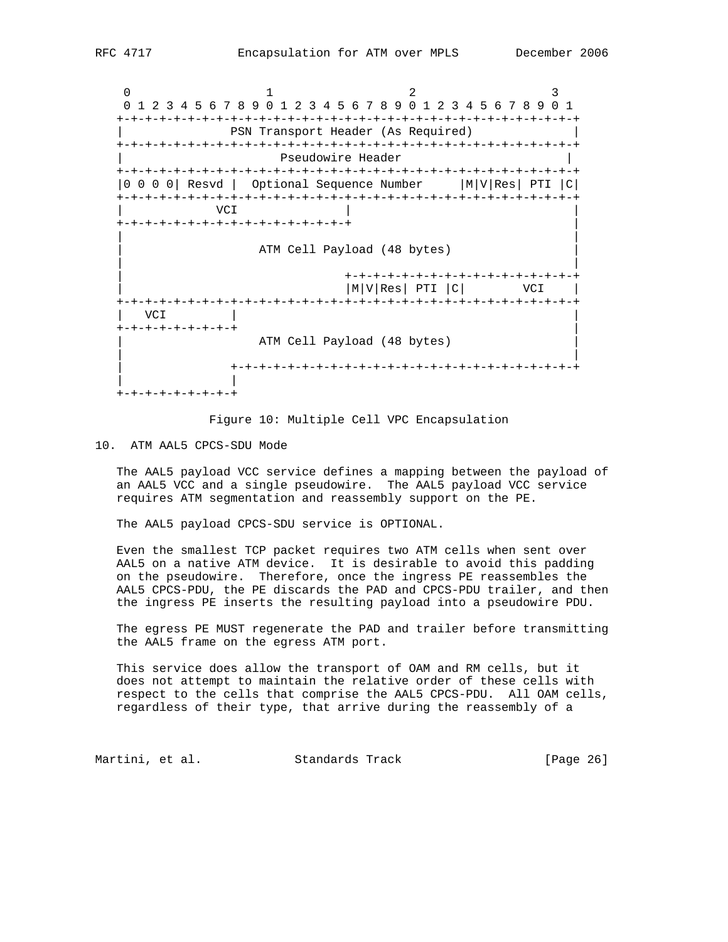0  $1$  2 3 0 1 2 3 4 5 6 7 8 9 0 1 2 3 4 5 6 7 8 9 0 1 2 3 4 5 6 7 8 9 0 1 +-+-+-+-+-+-+-+-+-+-+-+-+-+-+-+-+-+-+-+-+-+-+-+-+-+-+-+-+-+-+-+-+ | PSN Transport Header (As Required) | +-+-+-+-+-+-+-+-+-+-+-+-+-+-+-+-+-+-+-+-+-+-+-+-+-+-+-+-+-+-+-+-+ Pseudowire Header +-+-+-+-+-+-+-+-+-+-+-+-+-+-+-+-+-+-+-+-+-+-+-+-+-+-+-+-+-+-+-+-+ |0 0 0 0| Resvd | Optional Sequence Number |M|V|Res| PTI |C| +-+-+-+-+-+-+-+-+-+-+-+-+-+-+-+-+-+-+-+-+-+-+-+-+-+-+-+-+-+-+-+-+ | VCI | | +-+-+-+-+-+-+-+-+-+-+-+-+-+-+-+-+ | | | ATM Cell Payload (48 bytes) | | | +-+-+-+-+-+-+-+-+-+-+-+-+-+-+-+-+  $|M|V|$ Res PTI  $|C|$  VCI  $|$  +-+-+-+-+-+-+-+-+-+-+-+-+-+-+-+-+-+-+-+-+-+-+-+-+-+-+-+-+-+-+-+-+ | VCI | | +-+-+-+-+-+-+-+-+ | ATM Cell Payload (48 bytes) | | | +-+-+-+-+-+-+-+-+-+-+-+-+-+-+-+-+-+-+-+-+-+-+-+-+ | | +-+-+-+-+-+-+-+-+

Figure 10: Multiple Cell VPC Encapsulation

#### 10. ATM AAL5 CPCS-SDU Mode

 The AAL5 payload VCC service defines a mapping between the payload of an AAL5 VCC and a single pseudowire. The AAL5 payload VCC service requires ATM segmentation and reassembly support on the PE.

The AAL5 payload CPCS-SDU service is OPTIONAL.

 Even the smallest TCP packet requires two ATM cells when sent over AAL5 on a native ATM device. It is desirable to avoid this padding on the pseudowire. Therefore, once the ingress PE reassembles the AAL5 CPCS-PDU, the PE discards the PAD and CPCS-PDU trailer, and then the ingress PE inserts the resulting payload into a pseudowire PDU.

 The egress PE MUST regenerate the PAD and trailer before transmitting the AAL5 frame on the egress ATM port.

 This service does allow the transport of OAM and RM cells, but it does not attempt to maintain the relative order of these cells with respect to the cells that comprise the AAL5 CPCS-PDU. All OAM cells, regardless of their type, that arrive during the reassembly of a

Martini, et al. Standards Track [Page 26]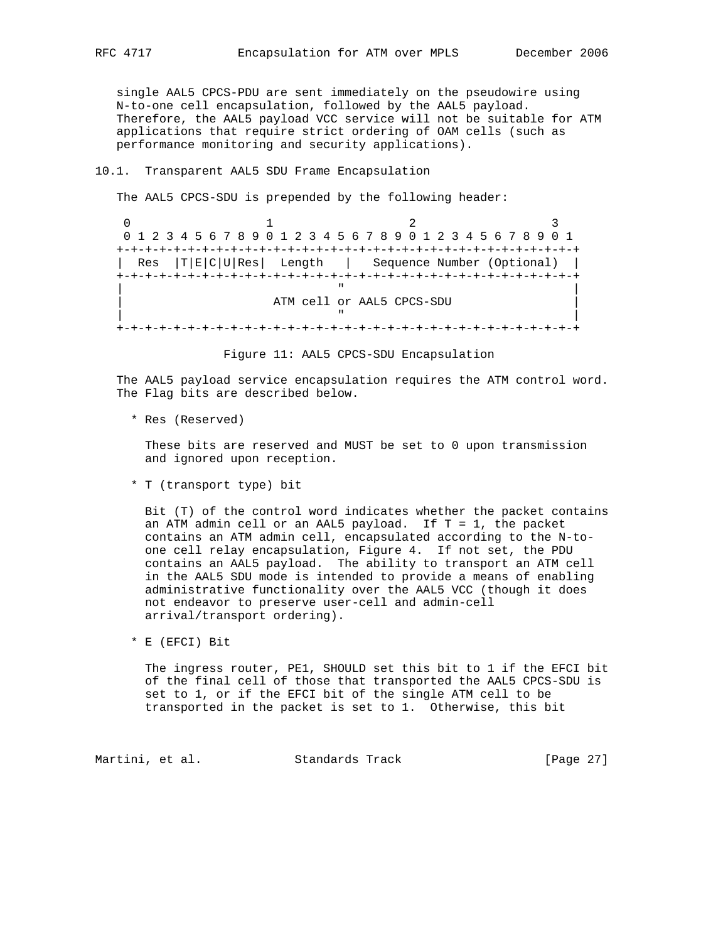single AAL5 CPCS-PDU are sent immediately on the pseudowire using N-to-one cell encapsulation, followed by the AAL5 payload. Therefore, the AAL5 payload VCC service will not be suitable for ATM applications that require strict ordering of OAM cells (such as performance monitoring and security applications).

### 10.1. Transparent AAL5 SDU Frame Encapsulation

The AAL5 CPCS-SDU is prepended by the following header:

0  $1$  2 3 0 1 2 3 4 5 6 7 8 9 0 1 2 3 4 5 6 7 8 9 0 1 2 3 4 5 6 7 8 9 0 1 +-+-+-+-+-+-+-+-+-+-+-+-+-+-+-+-+-+-+-+-+-+-+-+-+-+-+-+-+-+-+-+-+ | Res |T|E|C|U|Res| Length | Sequence Number (Optional) | +-+-+-+-+-+-+-+-+-+-+-+-+-+-+-+-+-+-+-+-+-+-+-+-+-+-+-+-+-+-+-+-+ | " | ATM cell or AAL5 CPCS-SDU | " | +-+-+-+-+-+-+-+-+-+-+-+-+-+-+-+-+-+-+-+-+-+-+-+-+-+-+-+-+-+-+-+-+

Figure 11: AAL5 CPCS-SDU Encapsulation

 The AAL5 payload service encapsulation requires the ATM control word. The Flag bits are described below.

\* Res (Reserved)

 These bits are reserved and MUST be set to 0 upon transmission and ignored upon reception.

\* T (transport type) bit

 Bit (T) of the control word indicates whether the packet contains an ATM admin cell or an AAL5 payload. If  $T = 1$ , the packet contains an ATM admin cell, encapsulated according to the N-to one cell relay encapsulation, Figure 4. If not set, the PDU contains an AAL5 payload. The ability to transport an ATM cell in the AAL5 SDU mode is intended to provide a means of enabling administrative functionality over the AAL5 VCC (though it does not endeavor to preserve user-cell and admin-cell arrival/transport ordering).

\* E (EFCI) Bit

 The ingress router, PE1, SHOULD set this bit to 1 if the EFCI bit of the final cell of those that transported the AAL5 CPCS-SDU is set to 1, or if the EFCI bit of the single ATM cell to be transported in the packet is set to 1. Otherwise, this bit

Martini, et al. Standards Track [Page 27]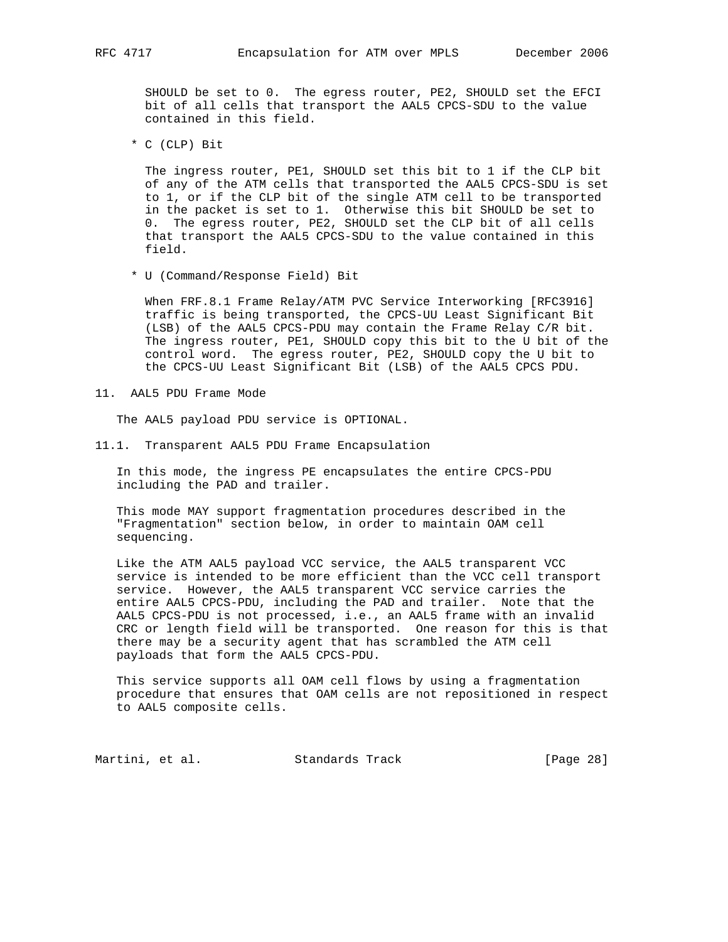SHOULD be set to 0. The egress router, PE2, SHOULD set the EFCI bit of all cells that transport the AAL5 CPCS-SDU to the value contained in this field.

\* C (CLP) Bit

 The ingress router, PE1, SHOULD set this bit to 1 if the CLP bit of any of the ATM cells that transported the AAL5 CPCS-SDU is set to 1, or if the CLP bit of the single ATM cell to be transported in the packet is set to 1. Otherwise this bit SHOULD be set to 0. The egress router, PE2, SHOULD set the CLP bit of all cells that transport the AAL5 CPCS-SDU to the value contained in this field.

\* U (Command/Response Field) Bit

 When FRF.8.1 Frame Relay/ATM PVC Service Interworking [RFC3916] traffic is being transported, the CPCS-UU Least Significant Bit (LSB) of the AAL5 CPCS-PDU may contain the Frame Relay C/R bit. The ingress router, PE1, SHOULD copy this bit to the U bit of the control word. The egress router, PE2, SHOULD copy the U bit to the CPCS-UU Least Significant Bit (LSB) of the AAL5 CPCS PDU.

11. AAL5 PDU Frame Mode

The AAL5 payload PDU service is OPTIONAL.

11.1. Transparent AAL5 PDU Frame Encapsulation

 In this mode, the ingress PE encapsulates the entire CPCS-PDU including the PAD and trailer.

 This mode MAY support fragmentation procedures described in the "Fragmentation" section below, in order to maintain OAM cell sequencing.

 Like the ATM AAL5 payload VCC service, the AAL5 transparent VCC service is intended to be more efficient than the VCC cell transport service. However, the AAL5 transparent VCC service carries the entire AAL5 CPCS-PDU, including the PAD and trailer. Note that the AAL5 CPCS-PDU is not processed, i.e., an AAL5 frame with an invalid CRC or length field will be transported. One reason for this is that there may be a security agent that has scrambled the ATM cell payloads that form the AAL5 CPCS-PDU.

 This service supports all OAM cell flows by using a fragmentation procedure that ensures that OAM cells are not repositioned in respect to AAL5 composite cells.

Martini, et al. Standards Track [Page 28]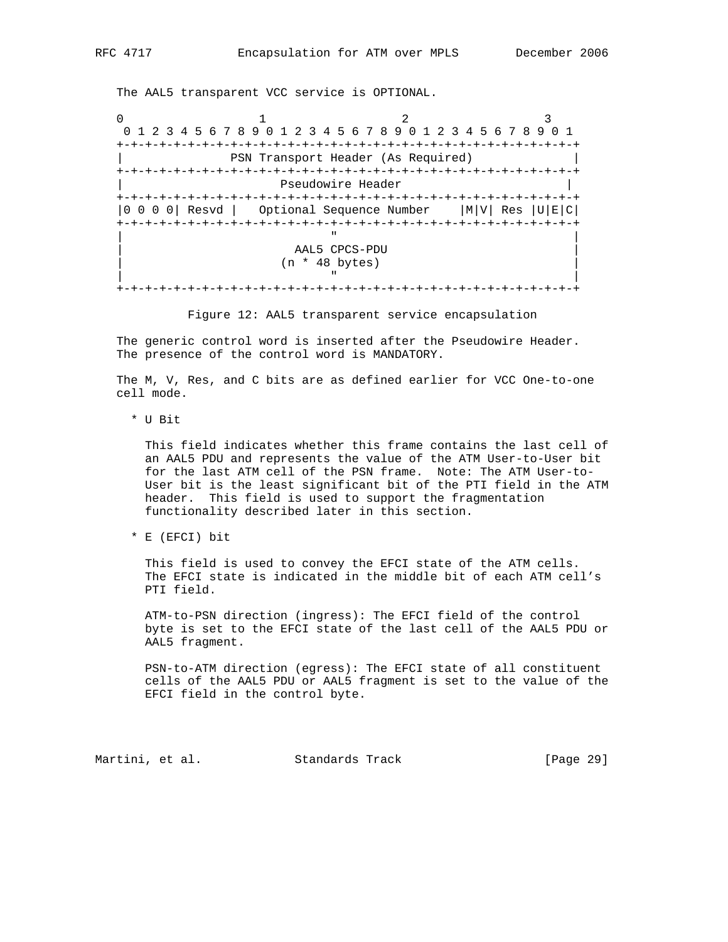The AAL5 transparent VCC service is OPTIONAL.

0  $1$  2 3 0 1 2 3 4 5 6 7 8 9 0 1 2 3 4 5 6 7 8 9 0 1 2 3 4 5 6 7 8 9 0 1 +-+-+-+-+-+-+-+-+-+-+-+-+-+-+-+-+-+-+-+-+-+-+-+-+-+-+-+-+-+-+-+-+ | PSN Transport Header (As Required) | +-+-+-+-+-+-+-+-+-+-+-+-+-+-+-+-+-+-+-+-+-+-+-+-+-+-+-+-+-+-+-+-+ Pseudowire Header +-+-+-+-+-+-+-+-+-+-+-+-+-+-+-+-+-+-+-+-+-+-+-+-+-+-+-+-+-+-+-+-+ |0 0 0 0| Resvd | Optional Sequence Number |M|V| Res |U|E|C| +-+-+-+-+-+-+-+-+-+-+-+-+-+-+-+-+-+-+-+-+-+-+-+-+-+-+-+-+-+-+-+-+ | " | | AAL5 CPCS-PDU | | (n \* 48 bytes) | | " | +-+-+-+-+-+-+-+-+-+-+-+-+-+-+-+-+-+-+-+-+-+-+-+-+-+-+-+-+-+-+-+-+

Figure 12: AAL5 transparent service encapsulation

 The generic control word is inserted after the Pseudowire Header. The presence of the control word is MANDATORY.

 The M, V, Res, and C bits are as defined earlier for VCC One-to-one cell mode.

\* U Bit

 This field indicates whether this frame contains the last cell of an AAL5 PDU and represents the value of the ATM User-to-User bit for the last ATM cell of the PSN frame. Note: The ATM User-to- User bit is the least significant bit of the PTI field in the ATM header. This field is used to support the fragmentation functionality described later in this section.

\* E (EFCI) bit

 This field is used to convey the EFCI state of the ATM cells. The EFCI state is indicated in the middle bit of each ATM cell's PTI field.

 ATM-to-PSN direction (ingress): The EFCI field of the control byte is set to the EFCI state of the last cell of the AAL5 PDU or AAL5 fragment.

 PSN-to-ATM direction (egress): The EFCI state of all constituent cells of the AAL5 PDU or AAL5 fragment is set to the value of the EFCI field in the control byte.

Martini, et al. Standards Track [Page 29]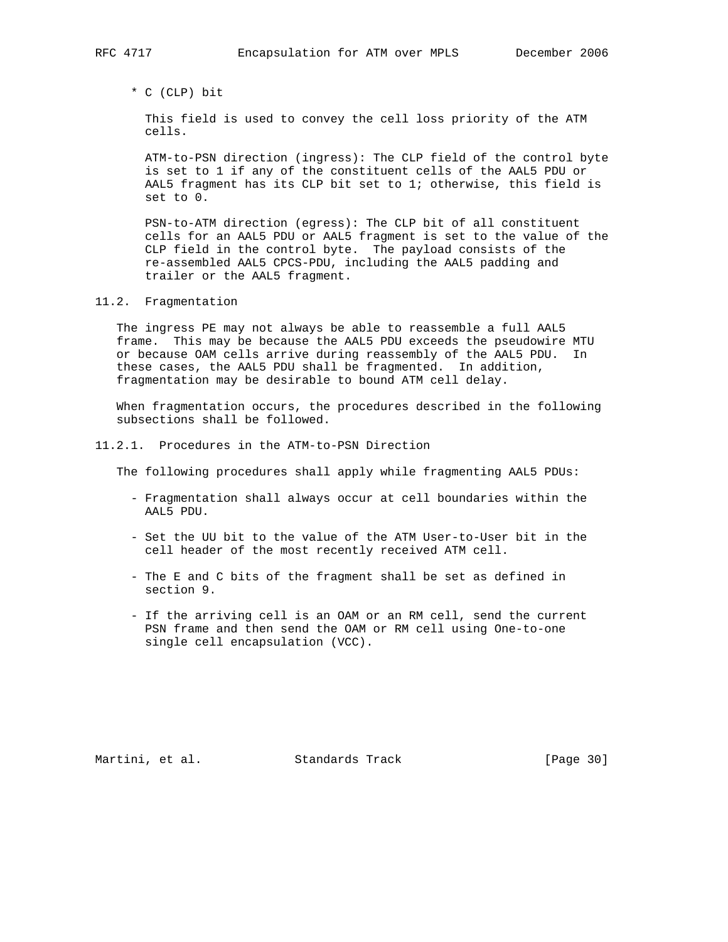\* C (CLP) bit

 This field is used to convey the cell loss priority of the ATM cells.

 ATM-to-PSN direction (ingress): The CLP field of the control byte is set to 1 if any of the constituent cells of the AAL5 PDU or AAL5 fragment has its CLP bit set to 1; otherwise, this field is set to 0.

 PSN-to-ATM direction (egress): The CLP bit of all constituent cells for an AAL5 PDU or AAL5 fragment is set to the value of the CLP field in the control byte. The payload consists of the re-assembled AAL5 CPCS-PDU, including the AAL5 padding and trailer or the AAL5 fragment.

11.2. Fragmentation

 The ingress PE may not always be able to reassemble a full AAL5 frame. This may be because the AAL5 PDU exceeds the pseudowire MTU or because OAM cells arrive during reassembly of the AAL5 PDU. In these cases, the AAL5 PDU shall be fragmented. In addition, fragmentation may be desirable to bound ATM cell delay.

 When fragmentation occurs, the procedures described in the following subsections shall be followed.

11.2.1. Procedures in the ATM-to-PSN Direction

The following procedures shall apply while fragmenting AAL5 PDUs:

- Fragmentation shall always occur at cell boundaries within the AAL5 PDU.
- Set the UU bit to the value of the ATM User-to-User bit in the cell header of the most recently received ATM cell.
- The E and C bits of the fragment shall be set as defined in section 9.
- If the arriving cell is an OAM or an RM cell, send the current PSN frame and then send the OAM or RM cell using One-to-one single cell encapsulation (VCC).

Martini, et al. Standards Track [Page 30]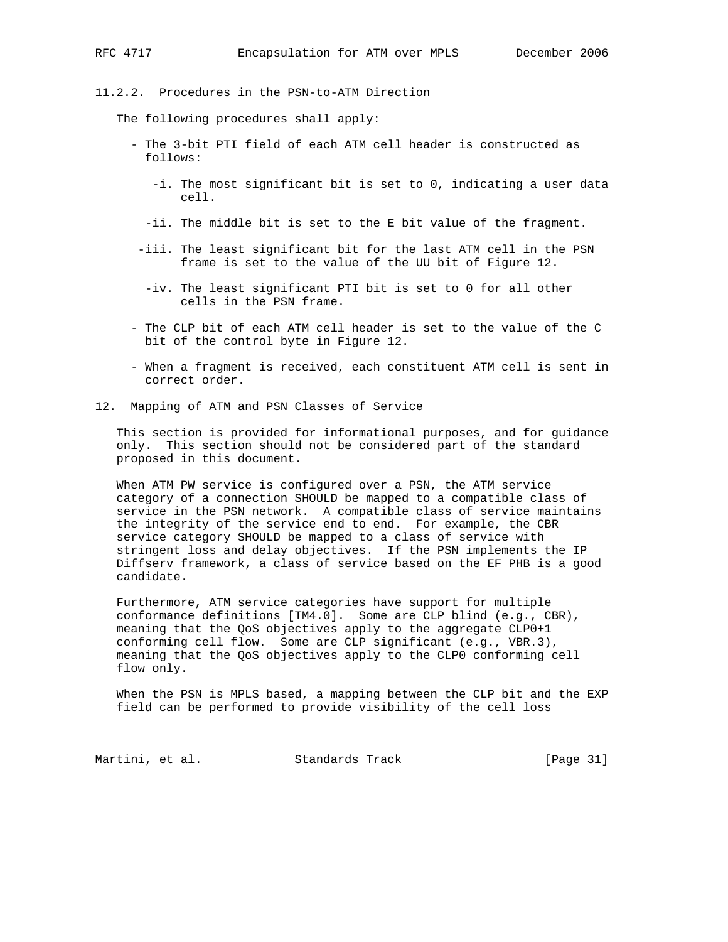11.2.2. Procedures in the PSN-to-ATM Direction

The following procedures shall apply:

- The 3-bit PTI field of each ATM cell header is constructed as follows:
	- -i. The most significant bit is set to 0, indicating a user data cell.
	- -ii. The middle bit is set to the E bit value of the fragment.
- -iii. The least significant bit for the last ATM cell in the PSN frame is set to the value of the UU bit of Figure 12.
- -iv. The least significant PTI bit is set to 0 for all other cells in the PSN frame.
- The CLP bit of each ATM cell header is set to the value of the C bit of the control byte in Figure 12.
- When a fragment is received, each constituent ATM cell is sent in correct order.
- 12. Mapping of ATM and PSN Classes of Service

 This section is provided for informational purposes, and for guidance only. This section should not be considered part of the standard proposed in this document.

 When ATM PW service is configured over a PSN, the ATM service category of a connection SHOULD be mapped to a compatible class of service in the PSN network. A compatible class of service maintains the integrity of the service end to end. For example, the CBR service category SHOULD be mapped to a class of service with stringent loss and delay objectives. If the PSN implements the IP Diffserv framework, a class of service based on the EF PHB is a good candidate.

 Furthermore, ATM service categories have support for multiple conformance definitions [TM4.0]. Some are CLP blind (e.g., CBR), meaning that the QoS objectives apply to the aggregate CLP0+1 conforming cell flow. Some are CLP significant (e.g., VBR.3), meaning that the QoS objectives apply to the CLP0 conforming cell flow only.

 When the PSN is MPLS based, a mapping between the CLP bit and the EXP field can be performed to provide visibility of the cell loss

Martini, et al. Standards Track [Page 31]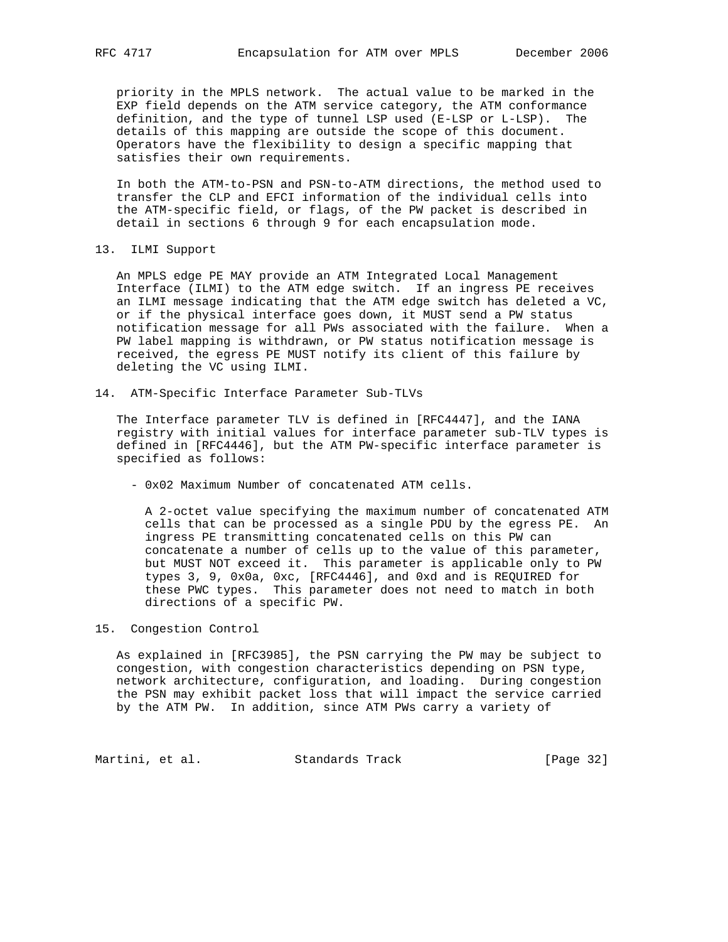priority in the MPLS network. The actual value to be marked in the EXP field depends on the ATM service category, the ATM conformance definition, and the type of tunnel LSP used (E-LSP or L-LSP). The details of this mapping are outside the scope of this document. Operators have the flexibility to design a specific mapping that satisfies their own requirements.

 In both the ATM-to-PSN and PSN-to-ATM directions, the method used to transfer the CLP and EFCI information of the individual cells into the ATM-specific field, or flags, of the PW packet is described in detail in sections 6 through 9 for each encapsulation mode.

13. ILMI Support

 An MPLS edge PE MAY provide an ATM Integrated Local Management Interface (ILMI) to the ATM edge switch. If an ingress PE receives an ILMI message indicating that the ATM edge switch has deleted a VC, or if the physical interface goes down, it MUST send a PW status notification message for all PWs associated with the failure. When a PW label mapping is withdrawn, or PW status notification message is received, the egress PE MUST notify its client of this failure by deleting the VC using ILMI.

14. ATM-Specific Interface Parameter Sub-TLVs

 The Interface parameter TLV is defined in [RFC4447], and the IANA registry with initial values for interface parameter sub-TLV types is defined in [RFC4446], but the ATM PW-specific interface parameter is specified as follows:

- 0x02 Maximum Number of concatenated ATM cells.

 A 2-octet value specifying the maximum number of concatenated ATM cells that can be processed as a single PDU by the egress PE. An ingress PE transmitting concatenated cells on this PW can concatenate a number of cells up to the value of this parameter, but MUST NOT exceed it. This parameter is applicable only to PW types 3, 9, 0x0a, 0xc, [RFC4446], and 0xd and is REQUIRED for these PWC types. This parameter does not need to match in both directions of a specific PW.

## 15. Congestion Control

 As explained in [RFC3985], the PSN carrying the PW may be subject to congestion, with congestion characteristics depending on PSN type, network architecture, configuration, and loading. During congestion the PSN may exhibit packet loss that will impact the service carried by the ATM PW. In addition, since ATM PWs carry a variety of

Martini, et al. Standards Track [Page 32]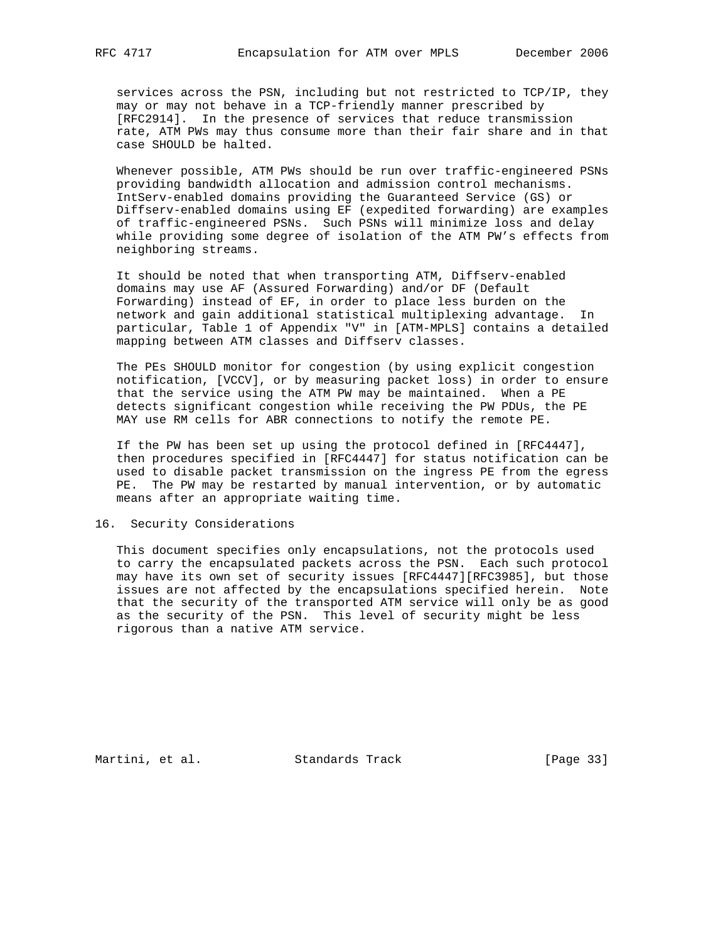services across the PSN, including but not restricted to TCP/IP, they may or may not behave in a TCP-friendly manner prescribed by [RFC2914]. In the presence of services that reduce transmission rate, ATM PWs may thus consume more than their fair share and in that case SHOULD be halted.

 Whenever possible, ATM PWs should be run over traffic-engineered PSNs providing bandwidth allocation and admission control mechanisms. IntServ-enabled domains providing the Guaranteed Service (GS) or Diffserv-enabled domains using EF (expedited forwarding) are examples of traffic-engineered PSNs. Such PSNs will minimize loss and delay while providing some degree of isolation of the ATM PW's effects from neighboring streams.

 It should be noted that when transporting ATM, Diffserv-enabled domains may use AF (Assured Forwarding) and/or DF (Default Forwarding) instead of EF, in order to place less burden on the network and gain additional statistical multiplexing advantage. In particular, Table 1 of Appendix "V" in [ATM-MPLS] contains a detailed mapping between ATM classes and Diffserv classes.

 The PEs SHOULD monitor for congestion (by using explicit congestion notification, [VCCV], or by measuring packet loss) in order to ensure that the service using the ATM PW may be maintained. When a PE detects significant congestion while receiving the PW PDUs, the PE MAY use RM cells for ABR connections to notify the remote PE.

 If the PW has been set up using the protocol defined in [RFC4447], then procedures specified in [RFC4447] for status notification can be used to disable packet transmission on the ingress PE from the egress PE. The PW may be restarted by manual intervention, or by automatic means after an appropriate waiting time.

### 16. Security Considerations

 This document specifies only encapsulations, not the protocols used to carry the encapsulated packets across the PSN. Each such protocol may have its own set of security issues [RFC4447][RFC3985], but those issues are not affected by the encapsulations specified herein. Note that the security of the transported ATM service will only be as good as the security of the PSN. This level of security might be less rigorous than a native ATM service.

Martini, et al. Standards Track [Page 33]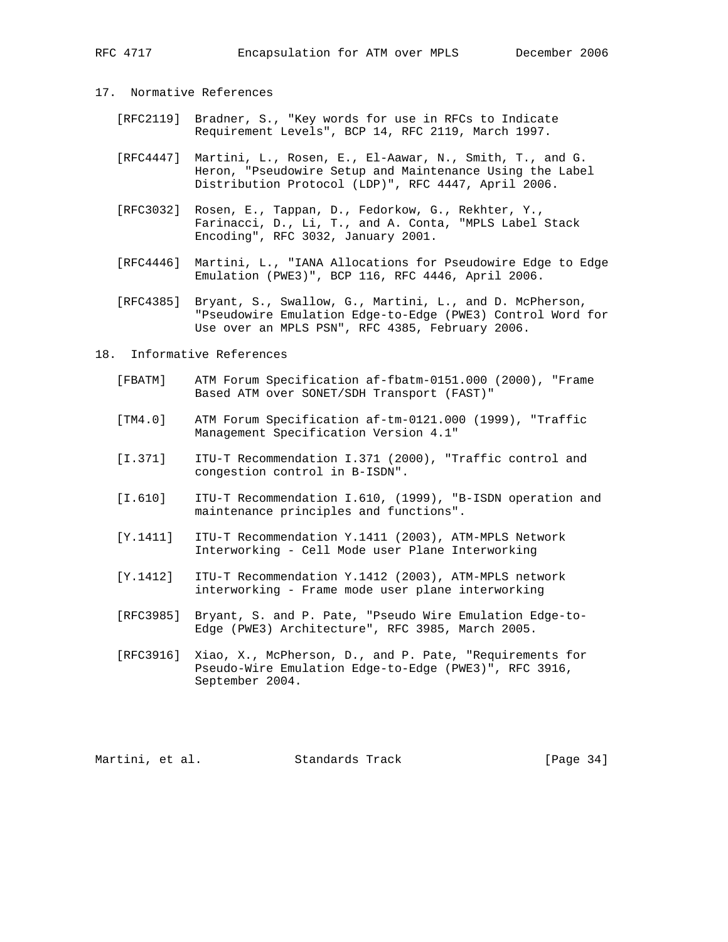# 17. Normative References

- [RFC2119] Bradner, S., "Key words for use in RFCs to Indicate Requirement Levels", BCP 14, RFC 2119, March 1997.
- [RFC4447] Martini, L., Rosen, E., El-Aawar, N., Smith, T., and G. Heron, "Pseudowire Setup and Maintenance Using the Label Distribution Protocol (LDP)", RFC 4447, April 2006.
- [RFC3032] Rosen, E., Tappan, D., Fedorkow, G., Rekhter, Y., Farinacci, D., Li, T., and A. Conta, "MPLS Label Stack Encoding", RFC 3032, January 2001.
- [RFC4446] Martini, L., "IANA Allocations for Pseudowire Edge to Edge Emulation (PWE3)", BCP 116, RFC 4446, April 2006.
- [RFC4385] Bryant, S., Swallow, G., Martini, L., and D. McPherson, "Pseudowire Emulation Edge-to-Edge (PWE3) Control Word for Use over an MPLS PSN", RFC 4385, February 2006.

#### 18. Informative References

- [FBATM] ATM Forum Specification af-fbatm-0151.000 (2000), "Frame Based ATM over SONET/SDH Transport (FAST)"
- [TM4.0] ATM Forum Specification af-tm-0121.000 (1999), "Traffic Management Specification Version 4.1"
- [I.371] ITU-T Recommendation I.371 (2000), "Traffic control and congestion control in B-ISDN".
- [I.610] ITU-T Recommendation I.610, (1999), "B-ISDN operation and maintenance principles and functions".
- [Y.1411] ITU-T Recommendation Y.1411 (2003), ATM-MPLS Network Interworking - Cell Mode user Plane Interworking
- [Y.1412] ITU-T Recommendation Y.1412 (2003), ATM-MPLS network interworking - Frame mode user plane interworking
- [RFC3985] Bryant, S. and P. Pate, "Pseudo Wire Emulation Edge-to- Edge (PWE3) Architecture", RFC 3985, March 2005.
- [RFC3916] Xiao, X., McPherson, D., and P. Pate, "Requirements for Pseudo-Wire Emulation Edge-to-Edge (PWE3)", RFC 3916, September 2004.

Martini, et al. Standards Track [Page 34]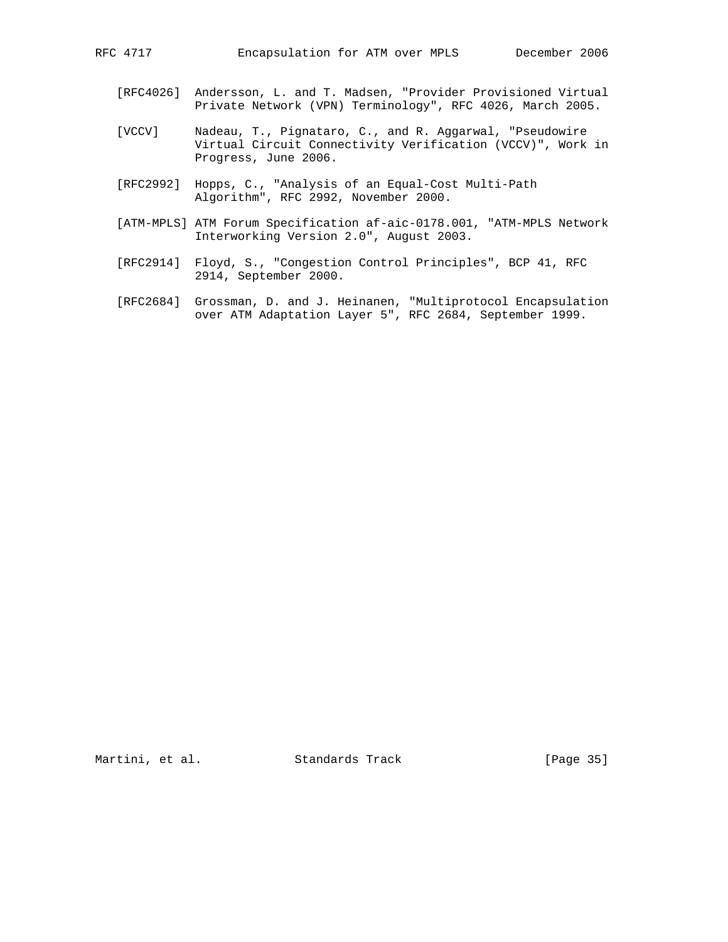- [RFC4026] Andersson, L. and T. Madsen, "Provider Provisioned Virtual Private Network (VPN) Terminology", RFC 4026, March 2005.
- [VCCV] Nadeau, T., Pignataro, C., and R. Aggarwal, "Pseudowire Virtual Circuit Connectivity Verification (VCCV)", Work in Progress, June 2006.
- [RFC2992] Hopps, C., "Analysis of an Equal-Cost Multi-Path Algorithm", RFC 2992, November 2000.
- [ATM-MPLS] ATM Forum Specification af-aic-0178.001, "ATM-MPLS Network Interworking Version 2.0", August 2003.
- [RFC2914] Floyd, S., "Congestion Control Principles", BCP 41, RFC 2914, September 2000.
- [RFC2684] Grossman, D. and J. Heinanen, "Multiprotocol Encapsulation over ATM Adaptation Layer 5", RFC 2684, September 1999.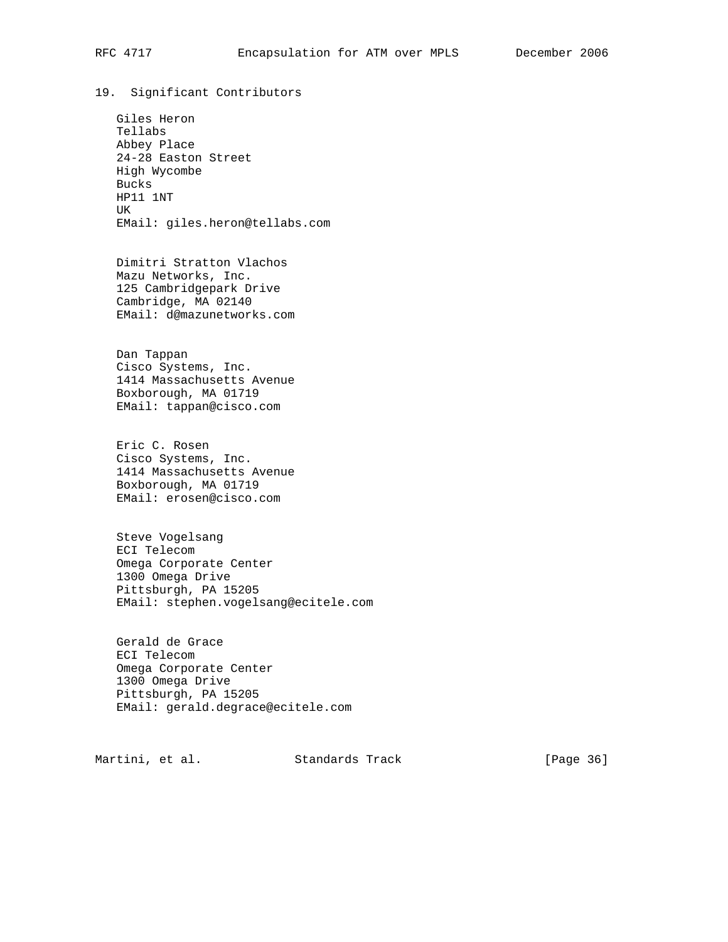19. Significant Contributors

 Giles Heron Tellabs Abbey Place 24-28 Easton Street High Wycombe Bucks HP11 1NT UK EMail: giles.heron@tellabs.com

 Dimitri Stratton Vlachos Mazu Networks, Inc. 125 Cambridgepark Drive Cambridge, MA 02140 EMail: d@mazunetworks.com

 Dan Tappan Cisco Systems, Inc. 1414 Massachusetts Avenue Boxborough, MA 01719 EMail: tappan@cisco.com

 Eric C. Rosen Cisco Systems, Inc. 1414 Massachusetts Avenue Boxborough, MA 01719 EMail: erosen@cisco.com

 Steve Vogelsang ECI Telecom Omega Corporate Center 1300 Omega Drive Pittsburgh, PA 15205 EMail: stephen.vogelsang@ecitele.com

 Gerald de Grace ECI Telecom Omega Corporate Center 1300 Omega Drive Pittsburgh, PA 15205 EMail: gerald.degrace@ecitele.com

Martini, et al. Standards Track [Page 36]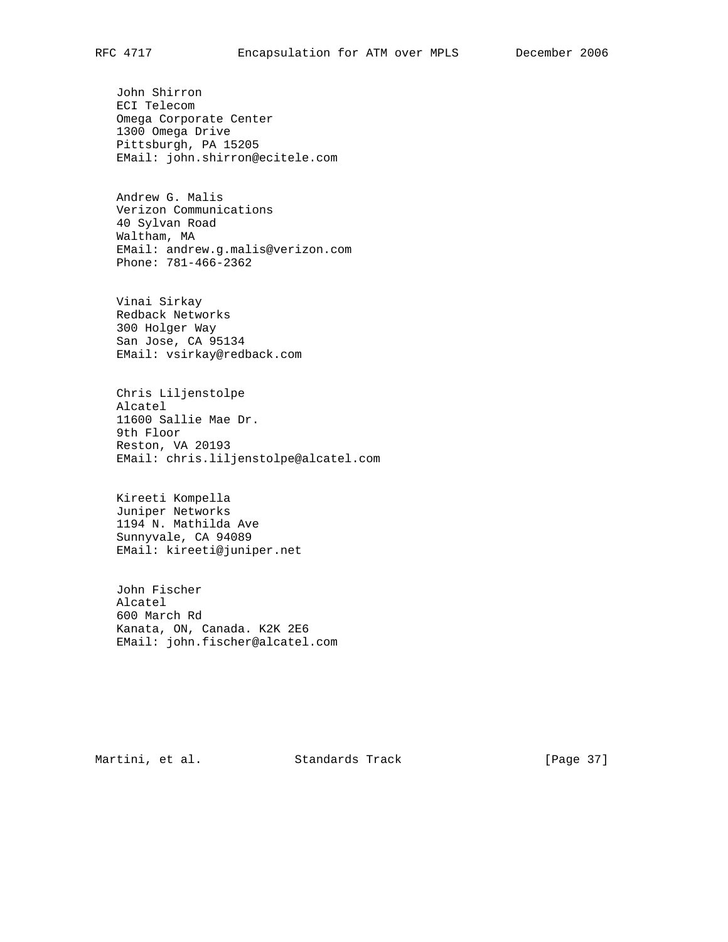John Shirron ECI Telecom Omega Corporate Center 1300 Omega Drive Pittsburgh, PA 15205 EMail: john.shirron@ecitele.com

 Andrew G. Malis Verizon Communications 40 Sylvan Road Waltham, MA EMail: andrew.g.malis@verizon.com Phone: 781-466-2362

 Vinai Sirkay Redback Networks 300 Holger Way San Jose, CA 95134 EMail: vsirkay@redback.com

 Chris Liljenstolpe Alcatel 11600 Sallie Mae Dr. 9th Floor Reston, VA 20193 EMail: chris.liljenstolpe@alcatel.com

 Kireeti Kompella Juniper Networks 1194 N. Mathilda Ave Sunnyvale, CA 94089 EMail: kireeti@juniper.net

 John Fischer Alcatel 600 March Rd Kanata, ON, Canada. K2K 2E6 EMail: john.fischer@alcatel.com

Martini, et al. Standards Track [Page 37]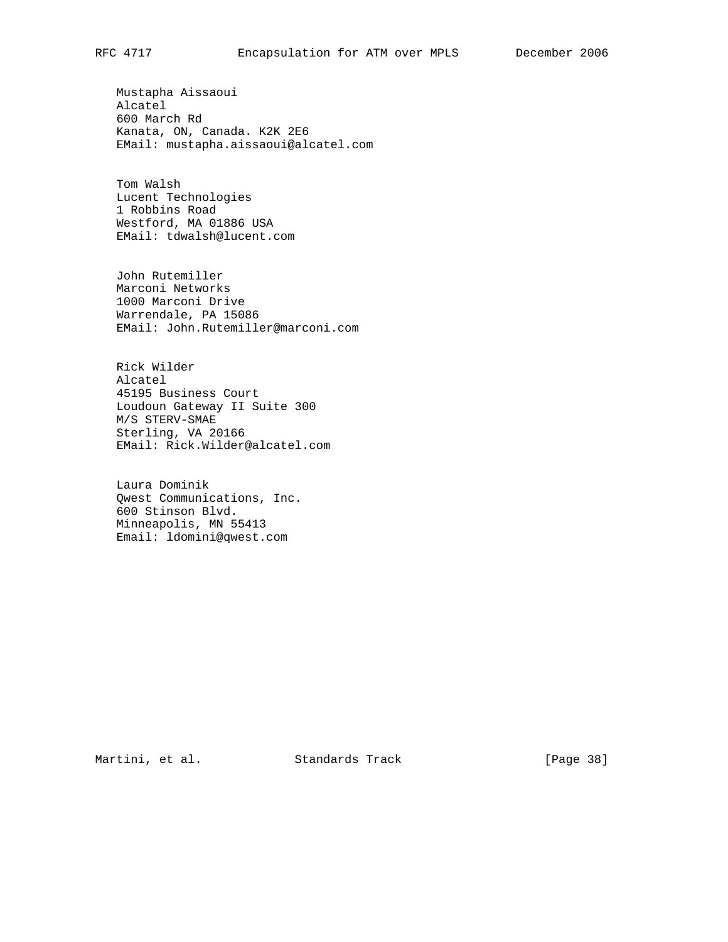Mustapha Aissaoui Alcatel 600 March Rd Kanata, ON, Canada. K2K 2E6 EMail: mustapha.aissaoui@alcatel.com

 Tom Walsh Lucent Technologies 1 Robbins Road Westford, MA 01886 USA EMail: tdwalsh@lucent.com

 John Rutemiller Marconi Networks 1000 Marconi Drive Warrendale, PA 15086 EMail: John.Rutemiller@marconi.com

 Rick Wilder Alcatel 45195 Business Court Loudoun Gateway II Suite 300 M/S STERV-SMAE Sterling, VA 20166 EMail: Rick.Wilder@alcatel.com

 Laura Dominik Qwest Communications, Inc. 600 Stinson Blvd. Minneapolis, MN 55413 Email: ldomini@qwest.com

Martini, et al. Standards Track [Page 38]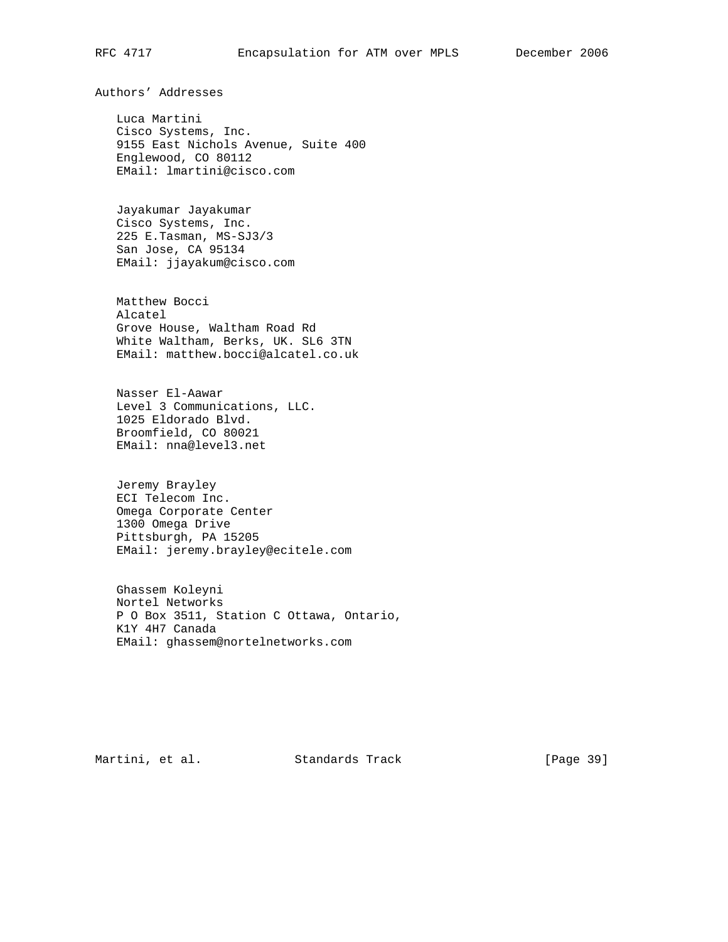Authors' Addresses

 Luca Martini Cisco Systems, Inc. 9155 East Nichols Avenue, Suite 400 Englewood, CO 80112 EMail: lmartini@cisco.com

 Jayakumar Jayakumar Cisco Systems, Inc. 225 E.Tasman, MS-SJ3/3 San Jose, CA 95134 EMail: jjayakum@cisco.com

 Matthew Bocci Alcatel Grove House, Waltham Road Rd White Waltham, Berks, UK. SL6 3TN EMail: matthew.bocci@alcatel.co.uk

 Nasser El-Aawar Level 3 Communications, LLC. 1025 Eldorado Blvd. Broomfield, CO 80021 EMail: nna@level3.net

 Jeremy Brayley ECI Telecom Inc. Omega Corporate Center 1300 Omega Drive Pittsburgh, PA 15205 EMail: jeremy.brayley@ecitele.com

 Ghassem Koleyni Nortel Networks P O Box 3511, Station C Ottawa, Ontario, K1Y 4H7 Canada EMail: ghassem@nortelnetworks.com

Martini, et al. Standards Track [Page 39]